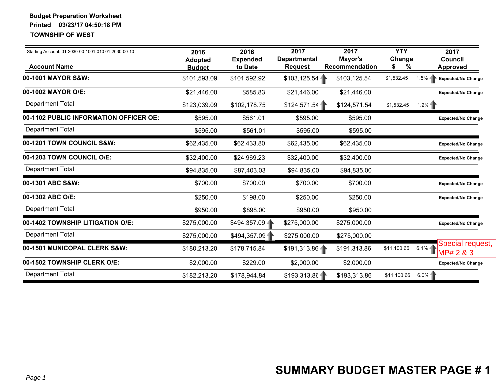| Starting Account: 01-2030-00-1001-010 01-2030-00-10<br><b>Account Name</b> | 2016<br><b>Adopted</b><br><b>Budget</b> | 2016<br><b>Expended</b><br>to Date | 2017<br><b>Departmental</b><br><b>Request</b> | 2017<br>Mayor's<br>Recommendation | <b>YTY</b><br>Change<br>%<br>\$ | 2017<br><b>Council</b><br><b>Approved</b> |
|----------------------------------------------------------------------------|-----------------------------------------|------------------------------------|-----------------------------------------------|-----------------------------------|---------------------------------|-------------------------------------------|
| 00-1001 MAYOR S&W:                                                         | \$101,593.09                            | \$101,592.92                       | \$103, 125.54                                 | \$103,125.54                      | \$1,532.45                      | $1.5% -$<br><b>Expected/No Change</b>     |
| 00-1002 MAYOR O/E:                                                         | \$21,446.00                             | \$585.83                           | \$21,446.00                                   | \$21,446.00                       |                                 | <b>Expected/No Change</b>                 |
| <b>Department Total</b>                                                    | \$123,039.09                            | \$102,178.75                       | \$124,571.54                                  | \$124,571.54                      | \$1,532.45                      | 1.2%                                      |
| 00-1102 PUBLIC INFORMATION OFFICER OE:                                     | \$595.00                                | \$561.01                           | \$595.00                                      | \$595.00                          |                                 | <b>Expected/No Change</b>                 |
| <b>Department Total</b>                                                    | \$595.00                                | \$561.01                           | \$595.00                                      | \$595.00                          |                                 |                                           |
| 00-1201 TOWN COUNCIL S&W:                                                  | \$62,435.00                             | \$62,433.80                        | \$62,435.00                                   | \$62,435.00                       |                                 | <b>Expected/No Change</b>                 |
| 00-1203 TOWN COUNCIL O/E:                                                  | \$32,400.00                             | \$24,969.23                        | \$32,400.00                                   | \$32,400.00                       |                                 | <b>Expected/No Change</b>                 |
| <b>Department Total</b>                                                    | \$94,835.00                             | \$87,403.03                        | \$94,835.00                                   | \$94,835.00                       |                                 |                                           |
| 00-1301 ABC S&W:                                                           | \$700.00                                | \$700.00                           | \$700.00                                      | \$700.00                          |                                 | <b>Expected/No Change</b>                 |
| 00-1302 ABC O/E:                                                           | \$250.00                                | \$198.00                           | \$250.00                                      | \$250.00                          |                                 | <b>Expected/No Change</b>                 |
| <b>Department Total</b>                                                    | \$950.00                                | \$898.00                           | \$950.00                                      | \$950.00                          |                                 |                                           |
| 00-1402 TOWNSHIP LITIGATION O/E:                                           | \$275,000.00                            | \$494,357.09                       | \$275,000.00                                  | \$275,000.00                      |                                 | <b>Expected/No Change</b>                 |
| <b>Department Total</b>                                                    | \$275,000.00                            | \$494,357.09                       | \$275,000.00                                  | \$275,000.00                      |                                 |                                           |
| 00-1501 MUNICOPAL CLERK S&W:                                               | \$180,213.20                            | \$178,715.84                       | \$191,313.86                                  | \$191,313.86                      | \$11,100.66                     | Special request,<br>$6.1\%$<br>MP# 2 & 3  |
| 00-1502 TOWNSHIP CLERK O/E:                                                | \$2,000.00                              | \$229.00                           | \$2,000.00                                    | \$2,000.00                        |                                 | <b>Expected/No Change</b>                 |
| <b>Department Total</b>                                                    | \$182,213.20                            | \$178,944.84                       | \$193,313.86                                  | \$193,313.86                      | \$11,100.66                     | $6.0%$ 1                                  |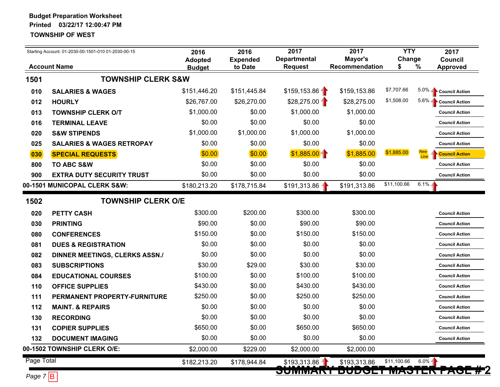|                                | Starting Account: 01-2030-00-1501-010 01-2030-00-15 | 2016<br><b>Adopted</b> | 2016<br><b>Expended</b> | 2017<br><b>Departmental</b> | 2017<br>Mayor's              | <b>YTY</b><br>Change |         | 2017<br><b>Council</b> |
|--------------------------------|-----------------------------------------------------|------------------------|-------------------------|-----------------------------|------------------------------|----------------------|---------|------------------------|
|                                | <b>Account Name</b>                                 | <b>Budget</b>          | to Date                 | <b>Request</b>              | Recommendation               |                      | $\%$    | <b>Approved</b>        |
| 1501                           | <b>TOWNSHIP CLERK S&amp;W</b>                       |                        |                         |                             |                              |                      |         |                        |
| 010                            | <b>SALARIES &amp; WAGES</b>                         | \$151,446.20           | \$151,445.84            | \$159,153.86                | \$159,153.86                 | \$7,707.66           | $5.0\%$ | <b>Council Action</b>  |
| 012                            | <b>HOURLY</b>                                       | \$26,767.00            | \$26,270.00             | $$28,275.00 -$              | \$28,275.00                  | \$1,508.00           | $5.6\%$ | <b>Council Action</b>  |
| 013                            | <b>TOWNSHIP CLERK O/T</b>                           | \$1,000.00             | \$0.00                  | \$1,000.00                  | \$1,000.00                   |                      |         | <b>Council Action</b>  |
| 016                            | <b>TERMINAL LEAVE</b>                               | \$0.00                 | \$0.00                  | \$0.00                      | \$0.00                       |                      |         | <b>Council Action</b>  |
| 020                            | <b>S&amp;W STIPENDS</b>                             | \$1,000.00             | \$1,000.00              | \$1,000.00                  | \$1,000.00                   |                      |         | <b>Council Action</b>  |
| 025                            | <b>SALARIES &amp; WAGES RETROPAY</b>                | \$0.00                 | \$0.00                  | \$0.00                      | \$0.00                       |                      |         | <b>Council Action</b>  |
| 030                            | <b>SPECIAL REQUESTS</b>                             | \$0.00                 | \$0.00                  | \$1,885.00                  | \$1,885.00                   | \$1,885.00           | Line    | <b>Council Action</b>  |
| 800                            | <b>TO ABC S&amp;W</b>                               | \$0.00                 | \$0.00                  | \$0.00                      | \$0.00                       |                      |         | <b>Council Action</b>  |
| 900                            | <b>EXTRA DUTY SECURITY TRUST</b>                    | \$0.00                 | \$0.00                  | \$0.00                      | \$0.00                       |                      |         | <b>Council Action</b>  |
|                                | 00-1501 MUNICOPAL CLERK S&W:                        | \$180,213.20           | \$178,715.84            | \$191,313.86                | \$191,313.86                 | \$11,100.66          | $6.1\%$ |                        |
| 1502                           | <b>TOWNSHIP CLERK O/E</b>                           |                        |                         |                             |                              |                      |         |                        |
| 020                            | <b>PETTY CASH</b>                                   | \$300.00               | \$200.00                | \$300.00                    | \$300.00                     |                      |         | <b>Council Action</b>  |
| 030                            | <b>PRINTING</b>                                     | \$90.00                | \$0.00                  | \$90.00                     | \$90.00                      |                      |         | <b>Council Action</b>  |
| 080                            | <b>CONFERENCES</b>                                  | \$150.00               | \$0.00                  | \$150.00                    | \$150.00                     |                      |         | <b>Council Action</b>  |
| 081                            | <b>DUES &amp; REGISTRATION</b>                      | \$0.00                 | \$0.00                  | \$0.00                      | \$0.00                       |                      |         | <b>Council Action</b>  |
| 082                            | <b>DINNER MEETINGS, CLERKS ASSN./</b>               | \$0.00                 | \$0.00                  | \$0.00                      | \$0.00                       |                      |         | <b>Council Action</b>  |
| 083                            | <b>SUBSCRIPTIONS</b>                                | \$30.00                | \$29.00                 | \$30.00                     | \$30.00                      |                      |         | <b>Council Action</b>  |
| 084                            | <b>EDUCATIONAL COURSES</b>                          | \$100.00               | \$0.00                  | \$100.00                    | \$100.00                     |                      |         | <b>Council Action</b>  |
| 110                            | <b>OFFICE SUPPLIES</b>                              | \$430.00               | \$0.00                  | \$430.00                    | \$430.00                     |                      |         | <b>Council Action</b>  |
| 111                            | PERMANENT PROPERTY-FURNITURE                        | \$250.00               | \$0.00                  | \$250.00                    | \$250.00                     |                      |         | <b>Council Action</b>  |
| 112                            | <b>MAINT. &amp; REPAIRS</b>                         | \$0.00                 | \$0.00                  | \$0.00                      | \$0.00                       |                      |         | <b>Council Action</b>  |
| 130                            | <b>RECORDING</b>                                    | \$0.00                 | \$0.00                  | \$0.00                      | \$0.00                       |                      |         | <b>Council Action</b>  |
| 131                            | <b>COPIER SUPPLIES</b>                              | \$650.00               | \$0.00                  | \$650.00                    | \$650.00                     |                      |         | <b>Council Action</b>  |
| 132                            | <b>DOCUMENT IMAGING</b>                             | \$0.00                 | \$0.00                  | \$0.00                      | \$0.00                       |                      |         | <b>Council Action</b>  |
|                                | 00-1502 TOWNSHIP CLERK O/E:                         | \$2,000.00             | \$229.00                | \$2,000.00                  | \$2,000.00                   |                      |         |                        |
| Page Total                     |                                                     | \$182,213.20           | \$178,944.84            | \$193,313.86                | \$193,313.86                 | \$11,100.66          | 6.0%    |                        |
| $P_{202}$ $\pm$ $\overline{D}$ |                                                     |                        |                         | <b>JUMMART</b>              | <b>DUUULI MAJIER PAUL #2</b> |                      |         |                        |

*Page 7* B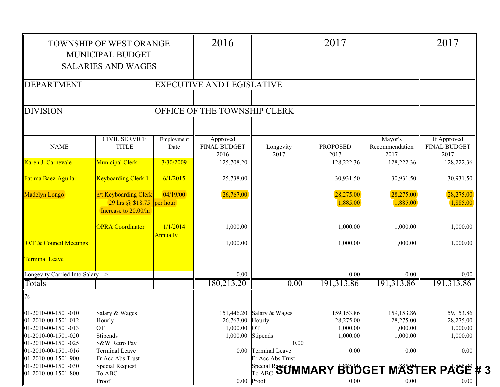|                                              | TOWNSHIP OF WEST ORANGE          |            | 2016                             |                           | 2017                                            |                        | 2017                        |
|----------------------------------------------|----------------------------------|------------|----------------------------------|---------------------------|-------------------------------------------------|------------------------|-----------------------------|
|                                              | <b>MUNICIPAL BUDGET</b>          |            |                                  |                           |                                                 |                        |                             |
|                                              | <b>SALARIES AND WAGES</b>        |            |                                  |                           |                                                 |                        |                             |
|                                              |                                  |            |                                  |                           |                                                 |                        |                             |
| <b>DEPARTMENT</b>                            |                                  |            | <b>EXECUTIVE AND LEGISLATIVE</b> |                           |                                                 |                        |                             |
|                                              |                                  |            |                                  |                           |                                                 |                        |                             |
| <b>DIVISION</b>                              |                                  |            | OFFICE OF THE TOWNSHIP CLERK     |                           |                                                 |                        |                             |
|                                              |                                  |            |                                  |                           |                                                 |                        |                             |
|                                              |                                  |            |                                  |                           |                                                 |                        |                             |
|                                              | <b>CIVIL SERVICE</b>             | Employment | Approved                         |                           |                                                 | Mayor's                | If Approved                 |
| <b>NAME</b>                                  | <b>TITLE</b>                     | Date       | <b>FINAL BUDGET</b><br>2016      | Longevity<br>2017         | <b>PROPOSED</b><br>2017                         | Recommendation<br>2017 | <b>FINAL BUDGET</b><br>2017 |
| Karen J. Carnevale                           | <b>Municipal Clerk</b>           | 3/30/2009  | 125,708.20                       |                           | 128,222.36                                      | 128,222.36             | 128,222.36                  |
|                                              |                                  |            |                                  |                           |                                                 |                        |                             |
| Fatima Baez-Aguilar                          | <b>Keyboarding Clerk 1</b>       | 6/1/2015   | 25,738.00                        |                           | 30,931.50                                       | 30,931.50              | 30,931.50                   |
| <b>Madelyn Longo</b>                         | p/t Keyboarding Clerk            | 04/19/00   | 26,767.00                        |                           | 28,275.00                                       | 28,275.00              | 28,275.00                   |
|                                              | 29 hrs @ \$18.75                 | per hour   |                                  |                           | 1,885.00                                        | 1,885.00               | 1,885.00                    |
|                                              | Increase to 20.00/hr             |            |                                  |                           |                                                 |                        |                             |
|                                              | <b>OPRA Coordinator</b>          | 1/1/2014   | 1,000.00                         |                           | 1,000.00                                        | 1,000.00               | 1,000.00                    |
|                                              |                                  | Annually   |                                  |                           |                                                 |                        |                             |
| O/T & Council Meetings                       |                                  |            | 1,000.00                         |                           | 1,000.00                                        | 1,000.00               | 1,000.00                    |
| <b>Terminal Leave</b>                        |                                  |            |                                  |                           |                                                 |                        |                             |
|                                              |                                  |            |                                  |                           |                                                 |                        |                             |
| Longevity Carried Into Salary -->            |                                  |            | 0.00                             |                           | 0.00                                            | 0.00                   | 0.00                        |
| Totals                                       |                                  |            | 180,213.20                       | 0.00                      | 191,313.86                                      | 191,313.86             | 191,313.86                  |
| 7s                                           |                                  |            |                                  |                           |                                                 |                        |                             |
| 01-2010-00-1501-010                          | Salary & Wages                   |            |                                  | 151,446.20 Salary & Wages | 159,153.86                                      | 159,153.86             | 159, 153.86                 |
| 01-2010-00-1501-012                          | Hourly                           |            | 26,767.00 Hourly                 |                           | 28,275.00                                       | 28,275.00              | 28,275.00                   |
| 01-2010-00-1501-013                          | <b>OT</b>                        |            | $1,000.00$ OT                    |                           | 1,000.00                                        | 1,000.00               | 1,000.00                    |
| 01-2010-00-1501-020                          | Stipends                         |            |                                  | 1,000.00 Stipends         | 1,000.00                                        | 1,000.00               | 1,000.00                    |
| 01-2010-00-1501-025                          | S&W Retro Pay                    |            |                                  | 0.00                      |                                                 |                        |                             |
| 01-2010-00-1501-016                          | <b>Terminal Leave</b>            |            |                                  | 0.00 Terminal Leave       | 0.00                                            | 0.00                   | $0.00\,$                    |
| 01-2010-00-1501-900                          | Fr Acc Abs Trust                 |            |                                  | Fr Acc Abs Trust          |                                                 |                        |                             |
| $01-2010-00-1501-030$<br>01-2010-00-1501-800 | <b>Special Request</b><br>To ABC |            |                                  |                           | Special R <b>SUMMARY BUDGET MASTER PAGE # 3</b> |                        |                             |
|                                              | Proof                            |            |                                  | $0.00$ Proof              | 0.00                                            | $0.00\,$               | 0.00                        |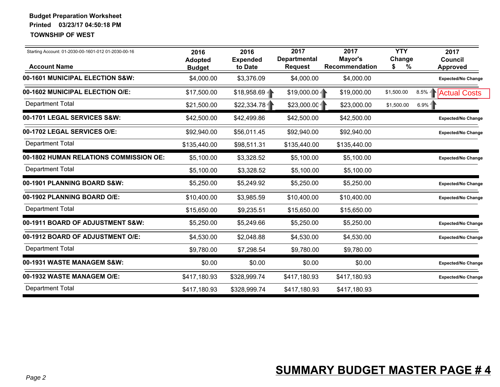| Starting Account: 01-2030-00-1601-012 01-2030-00-16<br><b>Account Name</b> | 2016<br><b>Adopted</b><br><b>Budget</b> | 2016<br><b>Expended</b><br>to Date | 2017<br><b>Departmental</b><br><b>Request</b> | 2017<br>Mayor's<br>Recommendation | <b>YTY</b><br>Change<br>$\%$<br>S | 2017<br><b>Council</b><br>Approved |
|----------------------------------------------------------------------------|-----------------------------------------|------------------------------------|-----------------------------------------------|-----------------------------------|-----------------------------------|------------------------------------|
| 00-1601 MUNICIPAL ELECTION S&W:                                            | \$4,000.00                              | \$3,376.09                         | \$4,000.00                                    | \$4,000.00                        |                                   | <b>Expected/No Change</b>          |
| 00-1602 MUNICIPAL ELECTION O/E:                                            | \$17,500.00                             | \$18,958.69                        | $$19,000.00 -$                                | \$19,000.00                       | \$1,500.00<br>8.5%                | <b>Actual Costs</b>                |
| <b>Department Total</b>                                                    | \$21,500.00                             | \$22,334.78                        | \$23,000.00                                   | \$23,000.00                       | \$1,500.00                        | 6.9%                               |
| 00-1701 LEGAL SERVICES S&W:                                                | \$42,500.00                             | \$42,499.86                        | \$42,500.00                                   | \$42,500.00                       |                                   | <b>Expected/No Change</b>          |
| 00-1702 LEGAL SERVICES O/E:                                                | \$92,940.00                             | \$56,011.45                        | \$92,940.00                                   | \$92,940.00                       |                                   | <b>Expected/No Change</b>          |
| <b>Department Total</b>                                                    | \$135,440.00                            | \$98,511.31                        | \$135,440.00                                  | \$135,440.00                      |                                   |                                    |
| 00-1802 HUMAN RELATIONS COMMISSION OE:                                     | \$5,100.00                              | \$3,328.52                         | \$5,100.00                                    | \$5,100.00                        |                                   | <b>Expected/No Change</b>          |
| <b>Department Total</b>                                                    | \$5,100.00                              | \$3,328.52                         | \$5,100.00                                    | \$5,100.00                        |                                   |                                    |
| 00-1901 PLANNING BOARD S&W:                                                | \$5,250.00                              | \$5,249.92                         | \$5,250.00                                    | \$5,250.00                        |                                   | <b>Expected/No Change</b>          |
| 00-1902 PLANNING BOARD O/E:                                                | \$10,400.00                             | \$3,985.59                         | \$10,400.00                                   | \$10,400.00                       |                                   | <b>Expected/No Change</b>          |
| <b>Department Total</b>                                                    | \$15,650.00                             | \$9,235.51                         | \$15,650.00                                   | \$15,650.00                       |                                   |                                    |
| 00-1911 BOARD OF ADJUSTMENT S&W:                                           | \$5,250.00                              | \$5,249.66                         | \$5,250.00                                    | \$5,250.00                        |                                   | <b>Expected/No Change</b>          |
| 00-1912 BOARD OF ADJUSTMENT O/E:                                           | \$4,530.00                              | \$2,048.88                         | \$4,530.00                                    | \$4,530.00                        |                                   | <b>Expected/No Change</b>          |
| <b>Department Total</b>                                                    | \$9,780.00                              | \$7,298.54                         | \$9,780.00                                    | \$9,780.00                        |                                   |                                    |
| 00-1931 WASTE MANAGEM S&W:                                                 | \$0.00                                  | \$0.00                             | \$0.00                                        | \$0.00                            |                                   | <b>Expected/No Change</b>          |
| 00-1932 WASTE MANAGEM O/E:                                                 | \$417,180.93                            | \$328,999.74                       | \$417,180.93                                  | \$417,180.93                      |                                   | <b>Expected/No Change</b>          |
| <b>Department Total</b>                                                    | \$417,180.93                            | \$328,999.74                       | \$417,180.93                                  | \$417,180.93                      |                                   |                                    |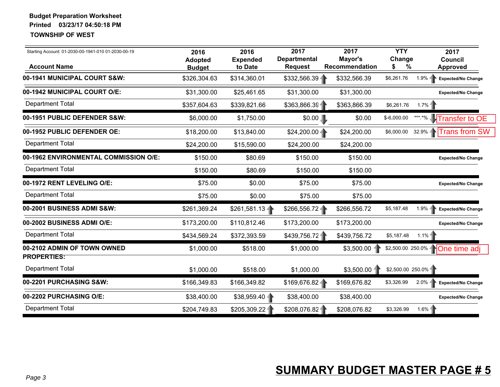| Starting Account: 01-2030-00-1941-010 01-2030-00-19<br><b>Account Name</b> | 2016<br><b>Adopted</b><br><b>Budget</b> | 2016<br><b>Expended</b><br>to Date | 2017<br><b>Departmental</b><br><b>Request</b> | 2017<br>Mayor's<br>Recommendation | <b>YTY</b><br>Change<br>%<br>\$ | 2017<br><b>Council</b><br>Approved     |
|----------------------------------------------------------------------------|-----------------------------------------|------------------------------------|-----------------------------------------------|-----------------------------------|---------------------------------|----------------------------------------|
| 00-1941 MUNICIPAL COURT S&W:                                               | \$326,304.63                            | \$314,360.01                       | \$332,566.39                                  | \$332,566.39                      | \$6,261.76                      | $1.9\% -$<br><b>Expected/No Change</b> |
| 00-1942 MUNICIPAL COURT O/E:                                               | \$31,300.00                             | \$25,461.65                        | \$31,300.00                                   | \$31,300.00                       |                                 | <b>Expected/No Change</b>              |
| <b>Department Total</b>                                                    | \$357,604.63                            | \$339,821.66                       | \$363,866.39                                  | \$363,866.39                      | \$6,261.76                      | 1.7%                                   |
| 00-1951 PUBLIC DEFENDER S&W:                                               | \$6,000.00                              | \$1,750.00                         | \$0.00                                        | \$0.00                            | $$-6,000.00$                    | *** *% Transfer to OE                  |
| 00-1952 PUBLIC DEFENDER OE:                                                | \$18,200.00                             | \$13,840.00                        | $$24,200.00 -$                                | \$24,200.00                       | \$6,000.00                      | 32.9% Trans from SW                    |
| <b>Department Total</b>                                                    | \$24,200.00                             | \$15,590.00                        | \$24,200.00                                   | \$24,200.00                       |                                 |                                        |
| 00-1962 ENVIRONMENTAL COMMISSION O/E:                                      | \$150.00                                | \$80.69                            | \$150.00                                      | \$150.00                          |                                 | <b>Expected/No Change</b>              |
| <b>Department Total</b>                                                    | \$150.00                                | \$80.69                            | \$150.00                                      | \$150.00                          |                                 |                                        |
| 00-1972 RENT LEVELING O/E:                                                 | \$75.00                                 | \$0.00                             | \$75.00                                       | \$75.00                           |                                 | <b>Expected/No Change</b>              |
| <b>Department Total</b>                                                    | \$75.00                                 | \$0.00                             | \$75.00                                       | \$75.00                           |                                 |                                        |
| 00-2001 BUSINESS ADMI S&W:                                                 | \$261,369.24                            | \$261,581.13                       | \$266,556.72                                  | \$266,556.72                      | \$5,187.48                      | 1.9%<br>Expected/No Change             |
| 00-2002 BUSINESS ADMI O/E:                                                 | \$173,200.00                            | \$110,812.46                       | \$173,200.00                                  | \$173,200.00                      |                                 | <b>Expected/No Change</b>              |
| <b>Department Total</b>                                                    | \$434,569.24                            | \$372,393.59                       | \$439,756.72                                  | \$439,756.72                      | \$5,187.48                      | $1.1\%$                                |
| 00-2102 ADMIN OF TOWN OWNED<br><b>PROPERTIES:</b>                          | \$1,000.00                              | \$518.00                           | \$1,000.00                                    | $$3,500.00$ -                     |                                 | \$2,500.00 250.0% None time adj        |
| <b>Department Total</b>                                                    | \$1,000.00                              | \$518.00                           | \$1,000.00                                    | $$3,500.00$ 1                     | \$2,500.00 250.0%               |                                        |
| 00-2201 PURCHASING S&W:                                                    | \$166,349.83                            | \$166,349.82                       | \$169,676.82                                  | \$169,676.82                      | \$3,326.99                      | 2.0%<br>Expected/No Change             |
| 00-2202 PURCHASING O/E:                                                    | \$38,400.00                             | \$38,959.40                        | \$38,400.00                                   | \$38,400.00                       |                                 | <b>Expected/No Change</b>              |
| <b>Department Total</b>                                                    | \$204,749.83                            | \$205,309.22                       | \$208,076.82                                  | \$208,076.82                      | \$3,326.99                      | $1.6\%$ -                              |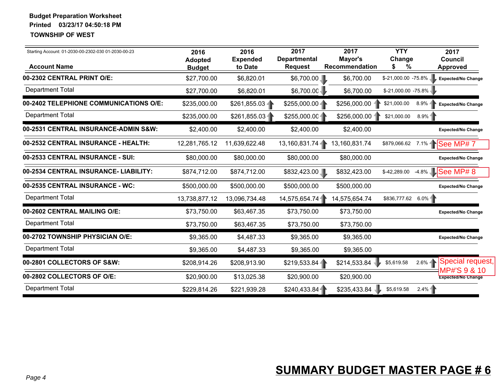| Starting Account: 01-2030-00-2302-030 01-2030-00-23<br><b>Account Name</b> | 2016<br><b>Adopted</b><br><b>Budget</b> | 2016<br><b>Expended</b><br>to Date | 2017<br><b>Departmental</b><br><b>Request</b> | 2017<br>Mayor's<br><b>Recommendation</b> | <b>YTY</b><br>Change<br>%<br>S     | 2017<br><b>Council</b><br><b>Approved</b> |
|----------------------------------------------------------------------------|-----------------------------------------|------------------------------------|-----------------------------------------------|------------------------------------------|------------------------------------|-------------------------------------------|
| 00-2302 CENTRAL PRINT O/E:                                                 | \$27,700.00                             | \$6,820.01                         | \$6,700.00                                    | \$6,700.00                               | \$-21,000.00 -75.8%                | <b>Expected/No Change</b>                 |
| <b>Department Total</b>                                                    | \$27,700.00                             | \$6,820.01                         | \$6,700.00                                    | \$6,700.00                               | \$-21,000.00 -75.8%                |                                           |
| 00-2402 TELEPHIONE COMMUNICATIONS O/E:                                     | \$235,000.00                            | $$261,855.03 -$                    | $$255,000.00 -$                               | $$256,000.00$ -                          | $8.9\%$ -<br>\$21,000.00           | <b>Expected/No Change</b>                 |
| <b>Department Total</b>                                                    | \$235,000.00                            | \$261,855.03                       | \$255,000.00                                  | \$256,000.00                             | \$21,000.00<br>$8.9\%$             |                                           |
| 00-2531 CENTRAL INSURANCE-ADMIN S&W:                                       | \$2,400.00                              | \$2,400.00                         | \$2,400.00                                    | \$2,400.00                               |                                    | <b>Expected/No Change</b>                 |
| 00-2532 CENTRAL INSURANCE - HEALTH:                                        | 12,281,765.12                           | 11,639,622.48                      | 13,160,831.74                                 | 13,160,831.74                            | \$879,066.62                       | 7.1% See MP# 7                            |
| 00-2533 CENTRAL INSURANCE - SUI:                                           | \$80,000.00                             | \$80,000.00                        | \$80,000.00                                   | \$80,000.00                              |                                    | <b>Expected/No Change</b>                 |
| 00-2534 CENTRAL INSURANCE- LIABILITY:                                      | \$874,712.00                            | \$874,712.00                       | \$832,423.00                                  | \$832,423.00                             | \$-42,289.00                       | -4.8% See MP# 8                           |
| 00-2535 CENTRAL INSURANCE - WC:                                            | \$500,000.00                            | \$500,000.00                       | \$500,000.00                                  | \$500,000.00                             |                                    | <b>Expected/No Change</b>                 |
| <b>Department Total</b>                                                    | 13,738,877.12                           | 13,096,734.48                      | 14,575,654.74                                 | 14,575,654.74                            | \$836,777.62 6.0%                  |                                           |
| 00-2602 CENTRAL MAILING O/E:                                               | \$73,750.00                             | \$63,467.35                        | \$73,750.00                                   | \$73,750.00                              |                                    | <b>Expected/No Change</b>                 |
| <b>Department Total</b>                                                    | \$73,750.00                             | \$63,467.35                        | \$73,750.00                                   | \$73,750.00                              |                                    |                                           |
| 00-2702 TOWNSHIP PHYSICIAN O/E:                                            | \$9,365.00                              | \$4,487.33                         | \$9,365.00                                    | \$9,365.00                               |                                    | <b>Expected/No Change</b>                 |
| <b>Department Total</b>                                                    | \$9,365.00                              | \$4,487.33                         | \$9,365.00                                    | \$9,365.00                               |                                    |                                           |
| 00-2801 COLLECTORS OF S&W:                                                 | \$208,914.26                            | \$208,913.90                       | \$219,533.84                                  | \$214,533.84                             | $2.6\%$<br>\$5,619.58              | Special request,                          |
| 00-2802 COLLECTORS OF O/E:                                                 | \$20,900.00                             | \$13,025.38                        | \$20,900.00                                   | \$20,900.00                              |                                    | MP#'S 9 & 10<br><b>Expected/No Change</b> |
| <b>Department Total</b>                                                    | \$229,814.26                            | \$221,939.28                       | \$240,433.84                                  | \$235,433.84                             | $2.4\%$ <sup>-</sup><br>\$5,619.58 |                                           |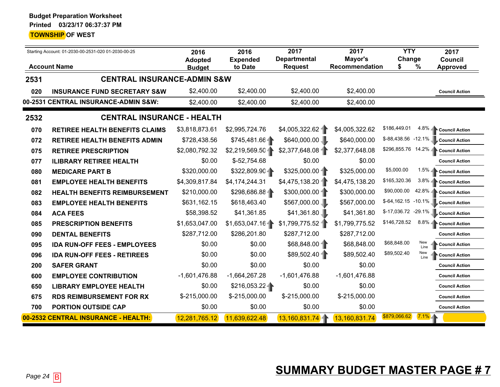|      | Starting Account: 01-2030-00-2531-020 01-2030-00-25 |                                 | 2016<br><b>Expended</b> | 2017<br><b>Departmental</b> | 2017<br>Mayor's       | <b>YTY</b><br>Change               | 2017<br><b>Council</b> |
|------|-----------------------------------------------------|---------------------------------|-------------------------|-----------------------------|-----------------------|------------------------------------|------------------------|
|      | <b>Account Name</b>                                 | <b>Adopted</b><br><b>Budget</b> | to Date                 | <b>Request</b>              | <b>Recommendation</b> | \$<br>$\%$                         | <b>Approved</b>        |
| 2531 | <b>CENTRAL INSURANCE-ADMIN S&amp;W</b>              |                                 |                         |                             |                       |                                    |                        |
| 020  | <b>INSURANCE FUND SECRETARY S&amp;W</b>             | \$2,400.00                      | \$2,400.00              | \$2,400.00                  | \$2,400.00            |                                    | <b>Council Action</b>  |
|      | 00-2531 CENTRAL INSURANCE-ADMIN S&W:                | \$2,400.00                      | \$2,400.00              | \$2,400.00                  | \$2,400.00            |                                    |                        |
| 2532 | <b>CENTRAL INSURANCE - HEALTH</b>                   |                                 |                         |                             |                       |                                    |                        |
| 070  | <b>RETIREE HEALTH BENEFITS CLAIMS</b>               | \$3,818,873.61                  | \$2,995,724.76          | \$4,005,322.62              | \$4,005,322.62        | \$186,449.01                       | 4.8% Council Action    |
| 072  | <b>RETIREE HEALTH BENEFITS ADMIN</b>                | \$728,438.56                    | \$745,481.66            | \$640,000.00                | \$640,000.00          | $$-88,438.56$ -12.1%               | <b>Council Action</b>  |
| 075  | <b>RETIREE PRESCRIPTION</b>                         | \$2,080,792.32                  | \$2,219,569.50          | \$2,377,648.08              | \$2,377,648.08        | \$296,855.76 14.2% Council Action  |                        |
| 077  | <b>ILIBRARY RETIREE HEALTH</b>                      | \$0.00                          | $$-52,754.68$           | \$0.00                      | \$0.00                |                                    | <b>Council Action</b>  |
| 080  | <b>MEDICARE PART B</b>                              | \$320,000.00                    | \$322,809.904           | $$325,000.00 -$             | \$325,000.00          | \$5,000.00                         | 1.5% Council Action    |
| 081  | <b>EMPLOYEE HEALTH BENEFITS</b>                     | \$4,309,817.84                  | \$4,174,244.31          | \$4,475,138.20              | \$4,475,138.20        | \$165,320.36                       | 3.8% Council Action    |
| 082  | <b>HEALTH BENEFITS REIMBURSEMENT</b>                | \$210,000.00                    | \$298,686.88            | $$300,000.00 -$             | \$300,000.00          | \$90,000.00<br>42.8%               | <b>Council Action</b>  |
| 083  | <b>EMPLOYEE HEALTH BENEFITS</b>                     | \$631,162.15                    | \$618,463.40            | \$567,000.00                | \$567,000.00          | \$-64,162.15 -10.1% Council Action |                        |
| 084  | <b>ACA FEES</b>                                     | \$58,398.52                     | \$41,361.85             | \$41,361.80                 | \$41,361.80           | \$-17,036.72<br>$-29.1\%$          | <b>Council Action</b>  |
| 085  | <b>PRESCRIPTION BENEFITS</b>                        | \$1,653,047.00                  | $$1,653,047.16 -$       | \$1,799,775.52              | \$1,799,775.52        | \$146,728.52                       | 8.8% Council Action    |
| 090  | <b>DENTAL BENEFITS</b>                              | \$287,712.00                    | \$286,201.80            | \$287,712.00                | \$287,712.00          |                                    | <b>Council Action</b>  |
| 095  | <b>IDA RUN-OFF FEES - EMPLOYEES</b>                 | \$0.00                          | \$0.00                  | \$68,848.00                 | \$68,848.00           | \$68,848.00<br>New<br>Line         | <b>Council Action</b>  |
| 096  | <b>IDA RUN-OFF FEES - RETIREES</b>                  | \$0.00                          | \$0.00                  | \$89,502.40                 | \$89,502.40           | New<br>\$89,502.40<br>Line         | <b>Council Action</b>  |
| 200  | <b>SAFER GRANT</b>                                  | \$0.00                          | \$0.00                  | \$0.00                      | \$0.00                |                                    | <b>Council Action</b>  |
| 600  | <b>EMPLOYEE CONTRIBUTION</b>                        | $-1,601,476.88$                 | $-1,664,267.28$         | $-1,601,476.88$             | $-1,601,476.88$       |                                    | <b>Council Action</b>  |
| 650  | <b>LIBRARY EMPLOYEE HEALTH</b>                      | \$0.00                          | \$216,053.22            | \$0.00                      | \$0.00                |                                    | <b>Council Action</b>  |
| 675  | <b>RDS REIMBURSEMENT FOR RX</b>                     | \$-215,000.00                   | \$-215,000.00           | \$-215,000.00               | \$-215,000.00         |                                    | <b>Council Action</b>  |
| 700  | <b>PORTION OUTSIDE CAP</b>                          | \$0.00                          | \$0.00                  | \$0.00                      | \$0.00                |                                    | <b>Council Action</b>  |
|      | 00-2532 CENTRAL INSURANCE - HEALTH:                 | 12,281,765.12                   | 11,639,622.48           | 13,160,831.74               | 13,160,831.74         | \$879,066.62<br>$7.1\%$            |                        |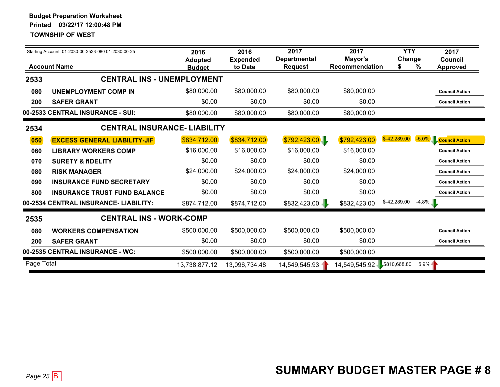|            | Starting Account: 01-2030-00-2533-080 01-2030-00-25 | 2016<br><b>Adopted</b> | 2016<br><b>Expended</b> | 2017<br><b>Departmental</b> | 2017<br>Mayor's | <b>YTY</b><br>Change |          | 2017<br>Council       |
|------------|-----------------------------------------------------|------------------------|-------------------------|-----------------------------|-----------------|----------------------|----------|-----------------------|
|            | <b>Account Name</b>                                 | <b>Budget</b>          | to Date                 | <b>Request</b>              | Recommendation  | S                    | %        | <b>Approved</b>       |
| 2533       | <b>CENTRAL INS - UNEMPLOYMENT</b>                   |                        |                         |                             |                 |                      |          |                       |
| 080        | <b>UNEMPLOYMENT COMP IN</b>                         | \$80,000.00            | \$80,000.00             | \$80,000.00                 | \$80,000.00     |                      |          | <b>Council Action</b> |
| 200        | <b>SAFER GRANT</b>                                  | \$0.00                 | \$0.00                  | \$0.00                      | \$0.00          |                      |          | <b>Council Action</b> |
|            | 00-2533 CENTRAL INSURANCE - SUI:                    | \$80,000.00            | \$80,000.00             | \$80,000.00                 | \$80,000.00     |                      |          |                       |
| 2534       | <b>CENTRAL INSURANCE- LIABILITY</b>                 |                        |                         |                             |                 |                      |          |                       |
| 050        | <b>EXCESS GENERAL LIABILITY-JIF</b>                 | \$834,712.00           | \$834,712.00            | \$792,423.00                | \$792,423.00    | $$-42,289.00$        |          | -5.0% Council Action  |
| 060        | <b>LIBRARY WORKERS COMP</b>                         | \$16,000.00            | \$16,000.00             | \$16,000.00                 | \$16,000.00     |                      |          | <b>Council Action</b> |
| 070        | <b>SURETY &amp; fIDELITY</b>                        | \$0.00                 | \$0.00                  | \$0.00                      | \$0.00          |                      |          | <b>Council Action</b> |
| 080        | <b>RISK MANAGER</b>                                 | \$24,000.00            | \$24,000.00             | \$24,000.00                 | \$24,000.00     |                      |          | <b>Council Action</b> |
| 090        | <b>INSURANCE FUND SECRETARY</b>                     | \$0.00                 | \$0.00                  | \$0.00                      | \$0.00          |                      |          | <b>Council Action</b> |
| 800        | <b>INSURANCE TRUST FUND BALANCE</b>                 | \$0.00                 | \$0.00                  | \$0.00                      | \$0.00          |                      |          | <b>Council Action</b> |
|            | 00-2534 CENTRAL INSURANCE- LIABILITY:               | \$874,712.00           | \$874,712.00            | \$832,423.00                | \$832,423.00    | \$-42,289.00         | $-4.8%$  |                       |
| 2535       | <b>CENTRAL INS - WORK-COMP</b>                      |                        |                         |                             |                 |                      |          |                       |
| 080        | <b>WORKERS COMPENSATION</b>                         | \$500,000.00           | \$500,000.00            | \$500,000.00                | \$500,000.00    |                      |          | <b>Council Action</b> |
| 200        | <b>SAFER GRANT</b>                                  | \$0.00                 | \$0.00                  | \$0.00                      | \$0.00          |                      |          | <b>Council Action</b> |
|            | 00-2535 CENTRAL INSURANCE - WC:                     | \$500,000.00           | \$500,000.00            | \$500,000.00                | \$500,000.00    |                      |          |                       |
| Page Total |                                                     | 13,738,877.12          | 13,096,734.48           | 14,549,545.93               | 14,549,545.92   | \$810,668.80         | $5.9% -$ |                       |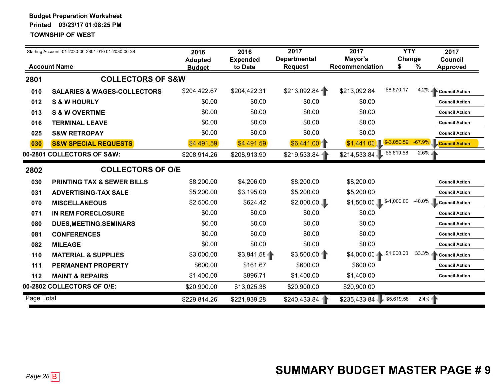|            | Starting Account: 01-2030-00-2801-010 01-2030-00-28<br><b>Account Name</b> | 2016<br><b>Adopted</b> | 2016<br><b>Expended</b><br>to Date | 2017<br><b>Departmental</b><br><b>Request</b> | 2017<br>Mayor's<br>Recommendation | <b>YTY</b><br>Change<br>\$ | ℅        | 2017<br>Council<br><b>Approved</b> |
|------------|----------------------------------------------------------------------------|------------------------|------------------------------------|-----------------------------------------------|-----------------------------------|----------------------------|----------|------------------------------------|
| 2801       | <b>COLLECTORS OF S&amp;W</b>                                               | <b>Budget</b>          |                                    |                                               |                                   |                            |          |                                    |
| 010        | <b>SALARIES &amp; WAGES-COLLECTORS</b>                                     | \$204,422.67           | \$204,422.31                       | \$213,092.84                                  | \$213,092.84                      | \$8,670.17                 |          | 4.2% Council Action                |
| 012        | <b>S &amp; W HOURLY</b>                                                    | \$0.00                 | \$0.00                             | \$0.00                                        | \$0.00                            |                            |          | <b>Council Action</b>              |
| 013        | <b>S &amp; W OVERTIME</b>                                                  | \$0.00                 | \$0.00                             | \$0.00                                        | \$0.00                            |                            |          | <b>Council Action</b>              |
| 016        | <b>TERMINAL LEAVE</b>                                                      | \$0.00                 | \$0.00                             | \$0.00                                        | \$0.00                            |                            |          | <b>Council Action</b>              |
| 025        | <b>S&amp;W RETROPAY</b>                                                    | \$0.00                 | \$0.00                             | \$0.00                                        | \$0.00                            |                            |          | <b>Council Action</b>              |
| 030        | <b>S&amp;W SPECIAL REQUESTS</b>                                            | \$4,491.59             | \$4,491.59                         | \$6,441.00                                    | \$1,441.00                        | $$-3,050.59$               | $-67.9%$ | <b>Council Action</b>              |
|            | 00-2801 COLLECTORS OF S&W:                                                 | \$208,914.26           | \$208,913.90                       | \$219,533.84                                  | \$214,533.84                      | \$5,619.58                 | $2.6\%$  |                                    |
| 2802       | <b>COLLECTORS OF O/E</b>                                                   |                        |                                    |                                               |                                   |                            |          |                                    |
| 030        | <b>PRINTING TAX &amp; SEWER BILLS</b>                                      | \$8,200.00             | \$4,206.00                         | \$8,200.00                                    | \$8,200.00                        |                            |          | <b>Council Action</b>              |
| 031        | <b>ADVERTISING-TAX SALE</b>                                                | \$5,200.00             | \$3,195.00                         | \$5,200.00                                    | \$5,200.00                        |                            |          | <b>Council Action</b>              |
| 070        | <b>MISCELLANEOUS</b>                                                       | \$2,500.00             | \$624.42                           | \$2,000.00                                    | $$1,500.00$ \$-1,000.00           |                            | -40.0%   | Council Action                     |
| 071        | <b>IN REM FORECLOSURE</b>                                                  | \$0.00                 | \$0.00                             | \$0.00                                        | \$0.00                            |                            |          | <b>Council Action</b>              |
| 080        | <b>DUES, MEETING, SEMINARS</b>                                             | \$0.00                 | \$0.00                             | \$0.00                                        | \$0.00                            |                            |          | <b>Council Action</b>              |
| 081        | <b>CONFERENCES</b>                                                         | \$0.00                 | \$0.00                             | \$0.00                                        | \$0.00                            |                            |          | <b>Council Action</b>              |
| 082        | <b>MILEAGE</b>                                                             | \$0.00                 | \$0.00                             | \$0.00                                        | \$0.00                            |                            |          | <b>Council Action</b>              |
| 110        | <b>MATERIAL &amp; SUPPLIES</b>                                             | \$3,000.00             | \$3,941.58                         | \$3,500.00                                    | $$4,000.00 -$                     | \$1,000.00                 |          | 33.3% Council Action               |
| 111        | <b>PERMANENT PROPERTY</b>                                                  | \$600.00               | \$161.67                           | \$600.00                                      | \$600.00                          |                            |          | <b>Council Action</b>              |
| 112        | <b>MAINT &amp; REPAIRS</b>                                                 | \$1,400.00             | \$896.71                           | \$1,400.00                                    | \$1,400.00                        |                            |          | <b>Council Action</b>              |
|            | 00-2802 COLLECTORS OF O/E:                                                 | \$20,900.00            | \$13,025.38                        | \$20,900.00                                   | \$20,900.00                       |                            |          |                                    |
| Page Total |                                                                            | \$229,814.26           | \$221,939.28                       | \$240,433.84                                  | \$235,433.84                      | \$5,619.58                 | 2.4%     |                                    |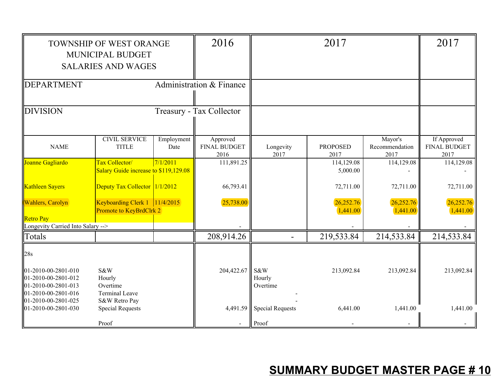|                                                                          | <b>TOWNSHIP OF WEST ORANGE</b><br>MUNICIPAL BUDGET<br><b>SALARIES AND WAGES</b> |                    | 2016                                    |                                    | 2017                    |                                   |                                            |
|--------------------------------------------------------------------------|---------------------------------------------------------------------------------|--------------------|-----------------------------------------|------------------------------------|-------------------------|-----------------------------------|--------------------------------------------|
| <b>DEPARTMENT</b>                                                        |                                                                                 |                    | Administration & Finance                |                                    |                         |                                   |                                            |
| <b>DIVISION</b>                                                          |                                                                                 |                    | Treasury - Tax Collector                |                                    |                         |                                   |                                            |
| <b>NAME</b>                                                              | <b>CIVIL SERVICE</b><br><b>TITLE</b>                                            | Employment<br>Date | Approved<br><b>FINAL BUDGET</b><br>2016 | Longevity<br>2017                  | <b>PROPOSED</b><br>2017 | Mayor's<br>Recommendation<br>2017 | If Approved<br><b>FINAL BUDGET</b><br>2017 |
| Joanne Gagliardo                                                         | Tax Collector/<br>Salary Guide increase to \$119,129.08                         | 7/1/2011           | 111,891.25                              |                                    | 114,129.08<br>5,000.00  | 114,129.08                        | 114,129.08                                 |
| Kathleen Sayers                                                          | Deputy Tax Collector 1/1/2012                                                   |                    | 66,793.41                               |                                    | 72,711.00               | 72,711.00                         | 72,711.00                                  |
| <b>Wahlers</b> , Carolyn                                                 | Keyboarding Clerk 1 11/4/2015<br><b>Promote to KeyBrdClrk 2</b>                 |                    | 25,738.00                               |                                    | 26,252.76<br>1,441.00   | 26,252.76<br>1,441.00             | 26,252.76<br>1,441.00                      |
| <b>Retro Pay</b><br>Longevity Carried Into Salary -->                    |                                                                                 |                    |                                         |                                    |                         |                                   |                                            |
| Totals                                                                   |                                                                                 |                    | 208,914.26                              |                                    | 219,533.84              | 214,533.84                        | 214,533.84                                 |
| 28s<br>01-2010-00-2801-010<br>01-2010-00-2801-012<br>01-2010-00-2801-013 | S&W<br>Hourly<br>Overtime                                                       |                    | 204,422.67                              | S&W<br>Hourly<br>Overtime          | 213,092.84              | 213,092.84                        | 213,092.84                                 |
| 01-2010-00-2801-016<br>01-2010-00-2801-025<br>01-2010-00-2801-030        | <b>Terminal Leave</b><br>S&W Retro Pay<br><b>Special Requests</b><br>Proof      |                    |                                         | 4,491.59 Special Requests<br>Proof | 6,441.00                | 1,441.00                          | 1,441.00                                   |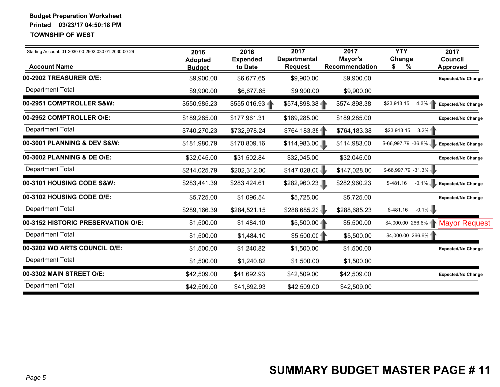| Starting Account: 01-2030-00-2902-030 01-2030-00-29 | 2016<br><b>Adopted</b> | 2016<br><b>Expended</b> | 2017<br><b>Departmental</b> | 2017<br>Mayor's | <b>YTY</b><br>Change     | 2017<br><b>Council</b>                |
|-----------------------------------------------------|------------------------|-------------------------|-----------------------------|-----------------|--------------------------|---------------------------------------|
| <b>Account Name</b>                                 | <b>Budget</b>          | to Date                 | <b>Request</b>              | Recommendation  | \$<br>%                  | <b>Approved</b>                       |
| 00-2902 TREASURER O/E:                              | \$9,900.00             | \$6,677.65              | \$9,900.00                  | \$9,900.00      |                          | <b>Expected/No Change</b>             |
| <b>Department Total</b>                             | \$9,900.00             | \$6,677.65              | \$9,900.00                  | \$9,900.00      |                          |                                       |
| 00-2951 COMPTROLLER S&W:                            | \$550,985.23           | \$555,016.93            | $$574,898.38 -$             | \$574,898.38    | \$23,913.15<br>$4.3\% -$ | Expected/No Change                    |
| 00-2952 COMPTROLLER O/E:                            | \$189,285.00           | \$177,961.31            | \$189,285.00                | \$189,285.00    |                          | <b>Expected/No Change</b>             |
| <b>Department Total</b>                             | \$740,270.23           | \$732,978.24            | \$764,183.38                | \$764,183.38    | $3.2\%$<br>\$23,913.15   |                                       |
| 00-3001 PLANNING & DEV S&W:                         | \$181,980.79           | \$170,809.16            | \$114,983.00                | \$114,983.00    | \$-66,997.79 -36.8%      | <b>Expected/No Change</b>             |
| 00-3002 PLANNING & DE O/E:                          | \$32,045.00            | \$31,502.84             | \$32,045.00                 | \$32,045.00     |                          | <b>Expected/No Change</b>             |
| <b>Department Total</b>                             | \$214,025.79           | \$202,312.00            | \$147,028.00                | \$147,028.00    | $$-66,997.79 -31.3\%$    |                                       |
| 00-3101 HOUSING CODE S&W:                           | \$283,441.39           | \$283,424.61            | \$282,960.23                | \$282,960.23    | $-0.1\%$<br>$$-481.16$   | <b>Expected/No Change</b>             |
| 00-3102 HOUSING CODE O/E:                           | \$5,725.00             | \$1,096.54              | \$5,725.00                  | \$5,725.00      |                          | <b>Expected/No Change</b>             |
| <b>Department Total</b>                             | \$289,166.39           | \$284,521.15            | \$288,685.23                | \$288,685.23    | $-0.1\%$<br>$$-481.16$   |                                       |
| 00-3152 HISTORIC PRESERVATION O/E:                  | \$1,500.00             | \$1,484.10              | $$5,500.00 -$               | \$5,500.00      | $$4,000.00 266.6\%$      | <b>Mayor Request</b>                  |
| <b>Department Total</b>                             | \$1,500.00             | \$1,484.10              | \$5,500.00                  | \$5,500.00      | \$4,000.00 266.6%        |                                       |
| 00-3202 WO ARTS COUNCIL O/E:                        | \$1,500.00             | \$1,240.82              | \$1,500.00                  | \$1,500.00      |                          | <b>Expected/No Change</b>             |
| <b>Department Total</b>                             | \$1,500.00             | \$1,240.82              | \$1,500.00                  | \$1,500.00      |                          |                                       |
| 00-3302 MAIN STREET O/E:                            | \$42,509.00            | \$41,692.93             | \$42,509.00                 | \$42,509.00     |                          | <b>Expected/No Change</b>             |
| <b>Department Total</b>                             | \$42,509.00            | \$41,692.93             | \$42,509.00                 | \$42,509.00     |                          |                                       |
|                                                     |                        |                         |                             |                 |                          |                                       |
| Page 5                                              |                        |                         |                             |                 |                          | <b>SUMMARY BUDGET MASTER PAGE #11</b> |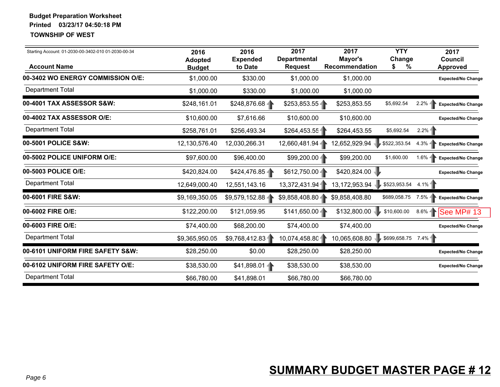| <b>Approved</b><br><b>Expected/No Change</b><br>$2.2\%$<br>$2.2\%$    |
|-----------------------------------------------------------------------|
| Expected/No Change<br><b>Expected/No Change</b><br>Expected/No Change |
|                                                                       |
|                                                                       |
|                                                                       |
|                                                                       |
|                                                                       |
| Expected/No Change                                                    |
| Expected/No Change                                                    |
| 4.1%                                                                  |
| $7.5\%$ -<br>Expected/No Change                                       |
| $8.6\%$<br>See MP# 13                                                 |
| <b>Expected/No Change</b>                                             |
|                                                                       |
| <b>Expected/No Change</b>                                             |
| <b>Expected/No Change</b>                                             |
|                                                                       |
| $$699,658.75$ 7.4%                                                    |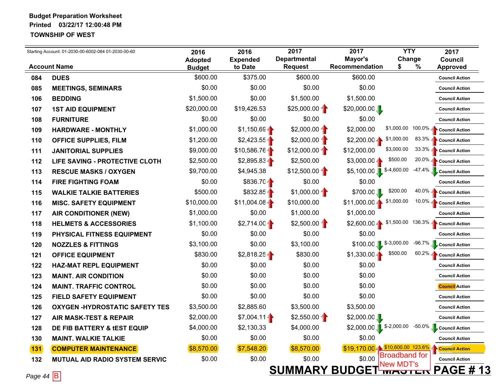|               | Starting Account: 01-2030-00-6002-084 01-2030-00-60 | 2016                            | 2016<br><b>Expended</b> | 2017<br><b>Departmental</b> | 2017<br>Mayor's                   | <b>YTY</b><br>Change               | 2017<br><b>Council</b>                           |
|---------------|-----------------------------------------------------|---------------------------------|-------------------------|-----------------------------|-----------------------------------|------------------------------------|--------------------------------------------------|
|               | <b>Account Name</b>                                 | <b>Adopted</b><br><b>Budget</b> | to Date                 | <b>Request</b>              | Recommendation                    | %<br>\$                            | <b>Approved</b>                                  |
| 084           | <b>DUES</b>                                         | \$600.00                        | \$375.00                | \$600.00                    | \$600.00                          |                                    | <b>Council Action</b>                            |
| 085           | <b>MEETINGS, SEMINARS</b>                           | \$0.00                          | \$0.00                  | \$0.00                      | \$0.00                            |                                    | <b>Council Action</b>                            |
| 106           | <b>BEDDING</b>                                      | \$1,500.00                      | \$0.00                  | \$1,500.00                  | \$1,500.00                        |                                    | <b>Council Action</b>                            |
| 107           | <b>1ST AID EQUIPMENT</b>                            | \$20,000.00                     | \$19,426.53             | $$25,000.00 -$              | \$20,000.00                       |                                    | <b>Council Action</b>                            |
| 108           | <b>FURNITURE</b>                                    | \$0.00                          | \$0.00                  | \$0.00                      | \$0.00                            |                                    | <b>Council Action</b>                            |
| 109           | <b>HARDWARE - MONTHLY</b>                           | \$1,000.00                      | \$1,150.69              | $$2,000.00 -$               | \$2,000.00                        | \$1,000.00                         | 100.0% $\blacktriangle$<br><b>Council Action</b> |
| 110           | <b>OFFICE SUPPLIES, FILM</b>                        | \$1,200.00                      | $$2,423.55 -$           | $$2,000.00 -$               | $$2,200.00 -$                     | \$1,000.00                         | $83.3\%$<br><b>Council Action</b>                |
| 111           | <b>JANITORIAL SUPPLIES</b>                          | \$9,000.00                      | $$10,586.76 -$          | $$12,000.00 -$              | \$12,000.00                       | \$3,000.00                         | $33.3\%$<br><b>Council Action</b>                |
| 112           | LIFE SAVING - PROTECTIVE CLOTH                      | \$2,500.00                      | \$2,895.83              | \$2,500.00                  | $$3,000.00 -$                     | \$500.00                           | $20.0\%$<br><b>Council Action</b>                |
| 113           | <b>RESCUE MASKS / OXYGEN</b>                        | \$9,700.00                      | \$4,945.38              | \$12,500.00                 | \$5,100.00 \$-4,600.00            |                                    | $-47.4%$<br><b>Council Action</b>                |
| 114           | <b>FIRE FIGHTING FOAM</b>                           | \$0.00                          | $$836.70 -$             | \$0.00                      | \$0.00                            |                                    | <b>Council Action</b>                            |
| 115           | <b>WALKIE TALKIE BATTERIES</b>                      | \$500.00                        | $$832.85 -$             | $$1,000.00 -$               | \$700.00                          | \$200.00                           | $40.0\%$<br><b>Council Action</b>                |
| 116           | <b>MISC. SAFETY EQUIPMENT</b>                       | \$10,000.00                     | $$11,004.08 -$          | \$10,000.00                 | $$11,000.00 -$                    | \$1,000.00                         | $10.0\%$<br><b>Council Action</b>                |
| 117           | <b>AIR CONDITIONER (NEW)</b>                        | \$1,000.00                      | \$0.00                  | \$1,000.00                  | \$1,000.00                        |                                    | <b>Council Action</b>                            |
| 118           | <b>HELMETS &amp; ACCESSORIES</b>                    | \$1,100.00                      | $$2,714.00 -$           | \$2,500.00                  | $$2,600.00 -$                     | \$1,500.00                         | $136.3\%$ $\Box$<br><b>Council Action</b>        |
| 119           | PHYSICAL FITNESS EQUIPMENT                          | \$0.00                          | \$0.00                  | \$0.00                      | \$0.00                            |                                    | <b>Council Action</b>                            |
| 120           | <b>NOZZLES &amp; FITTINGS</b>                       | \$3,100.00                      | \$0.00                  | \$3,100.00                  | \$100.00                          | $$-3,000.00$                       | $-96.7\%$<br><b>Council Action</b>               |
| 121           | <b>OFFICE EQUIPMENT</b>                             | \$830.00                        | \$2,818.25              | \$830.00                    | $$1,330.00 -$                     | \$500.00                           | $60.2\%$<br><b>Council Action</b>                |
| 122           | <b>HAZ-MAT REPL EQUIPMENT</b>                       | \$0.00                          | \$0.00                  | \$0.00                      | \$0.00                            |                                    | <b>Council Action</b>                            |
| 123           | <b>MAINT. AIR CONDITION</b>                         | \$0.00                          | \$0.00                  | \$0.00                      | \$0.00                            |                                    | <b>Council Action</b>                            |
| 124           | <b>MAINT. TRAFFIC CONTROL</b>                       | \$0.00                          | \$0.00                  | \$0.00                      | \$0.00                            |                                    | <b>Council</b> Action                            |
| 125           | <b>FIELD SAFETY EQUIPMENT</b>                       | \$0.00                          | \$0.00                  | \$0.00                      | \$0.00                            |                                    | <b>Council Action</b>                            |
| 126           | <b>OXYGEN-HYDROSTATIC SAFETY TES</b>                | \$3,500.00                      | \$2,885.60              | \$3,500.00                  | \$3,500.00                        |                                    | <b>Council Action</b>                            |
| 127           | <b>AIR MASK-TEST &amp; REPAIR</b>                   | \$2,000.00                      | $$7,004.11 -$           | \$2,550.00                  | \$2,000.00                        |                                    | <b>Council Action</b>                            |
| 128           | DE FIB BATTERY & LEST EQUIP                         | \$4,000.00                      | \$2,130.33              | \$4,000.00                  | $$2,000.00$ \$-2,000.00           |                                    | -50.0% Council Action                            |
| 130           | <b>MAINT. WALKIE TALKIE</b>                         | \$0.00                          | \$0.00                  | \$0.00                      | \$0.00                            |                                    | <b>Council Action</b>                            |
| 131           | <b>COMPUTER MAINTENANCE</b>                         | \$8,570.00                      | \$7,548.20              | \$8,570.00                  | $$19,170.00 + $10,600.00 123.6\%$ |                                    | <b>Council Action</b>                            |
| 132           | <b>MUTUAL AID RADIO SYSTEM SERVIC</b>               | \$0.00                          | \$0.00                  | \$0.00                      |                                   | \$0.00 Broadband for<br>INew MDT's | <b>Council Action</b>                            |
| Page 44 $ B $ |                                                     |                                 |                         | <b>SUMMARY BUDGET</b>       |                                   | <b>TVIAJILIT</b>                   | <b>PAGE # 13</b>                                 |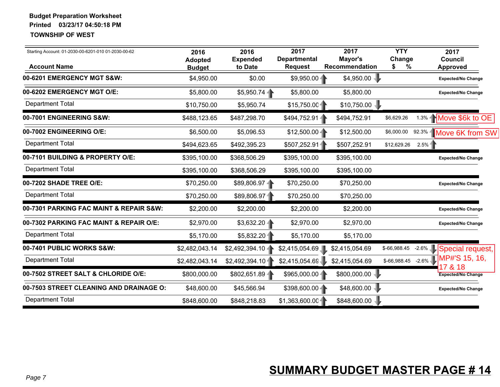| Starting Account: 01-2030-00-6201-010 01-2030-00-62 | 2016<br><b>Adopted</b> | 2016<br><b>Expended</b> | 2017<br><b>Departmental</b> | 2017<br>Mayor's | <b>YTY</b><br>Change   | 2017<br><b>Council</b>              |
|-----------------------------------------------------|------------------------|-------------------------|-----------------------------|-----------------|------------------------|-------------------------------------|
| <b>Account Name</b>                                 | <b>Budget</b>          | to Date                 | <b>Request</b>              | Recommendation  | \$<br>%                | <b>Approved</b>                     |
| 00-6201 EMERGENCY MGT S&W:                          | \$4,950.00             | \$0.00                  | \$9,950.00                  | \$4,950.00      |                        | <b>Expected/No Change</b>           |
| 00-6202 EMERGENCY MGT O/E:                          | \$5,800.00             | \$5,950.74              | \$5,800.00                  | \$5,800.00      |                        | <b>Expected/No Change</b>           |
| <b>Department Total</b>                             | \$10,750.00            | \$5,950.74              | \$15,750.00                 | \$10,750.00     |                        |                                     |
| 00-7001 ENGINEERING S&W:                            | \$488,123.65           | \$487,298.70            | \$494,752.91-               | \$494,752.91    | \$6,629.26             | $1.3\%$ Move \$6k to OE             |
| 00-7002 ENGINEERING O/E:                            | \$6,500.00             | \$5,096.53              | $$12,500.00 -$              | \$12,500.00     | \$6,000.00             | 92.3% Move 6K from SW               |
| <b>Department Total</b>                             | \$494,623.65           | \$492,395.23            | \$507,252.914               | \$507,252.91    | \$12,629.26            | 2.5%                                |
| 00-7101 BUILDING & PROPERTY O/E:                    | \$395,100.00           | \$368,506.29            | \$395,100.00                | \$395,100.00    |                        | <b>Expected/No Change</b>           |
| <b>Department Total</b>                             | \$395,100.00           | \$368,506.29            | \$395,100.00                | \$395,100.00    |                        |                                     |
| 00-7202 SHADE TREE O/E:                             | \$70,250.00            | \$89,806.974            | \$70,250.00                 | \$70,250.00     |                        | <b>Expected/No Change</b>           |
| <b>Department Total</b>                             | \$70,250.00            | \$89,806.974            | \$70,250.00                 | \$70,250.00     |                        |                                     |
| 00-7301 PARKING FAC MAINT & REPAIR S&W:             | \$2,200.00             | \$2,200.00              | \$2,200.00                  | \$2,200.00      |                        | <b>Expected/No Change</b>           |
| 00-7302 PARKING FAC MAINT & REPAIR O/E:             | \$2,970.00             | $$3,632.20 -$           | \$2,970.00                  | \$2,970.00      |                        | <b>Expected/No Change</b>           |
| <b>Department Total</b>                             | \$5,170.00             | \$5,832.20              | \$5,170.00                  | \$5,170.00      |                        |                                     |
| 00-7401 PUBLIC WORKS S&W:                           | \$2,482,043.14         | \$2,492,394.10          | \$2,415,054.69              | \$2,415,054.69  |                        | \$-66,988.45 -2.6% Special request, |
| <b>Department Total</b>                             | \$2,482,043.14         | \$2,492,394.10          | \$2,415,054.69              | \$2,415,054.69  | $$-66,988.45$ $-2.6\%$ | MP#'S 15, 16,<br>7 & 18             |
| 00-7502 STREET SALT & CHLORIDE O/E:                 | \$800,000.00           | \$802,651.89            | \$965,000.004               | \$800,000.00    |                        | <b>Expected/No Change</b>           |
| 00-7503 STREET CLEANING AND DRAINAGE O:             | \$48,600.00            | \$45,566.94             | \$398,600.00                | \$48,600.00     |                        | <b>Expected/No Change</b>           |
| <b>Department Total</b>                             | \$848,600.00           | \$848,218.83            | \$1,363,600.00              | \$848,600.00    |                        |                                     |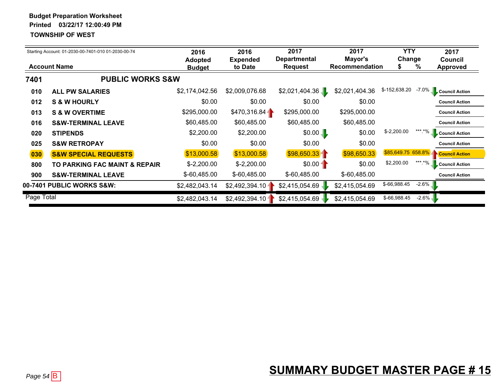|                     | Starting Account: 01-2030-00-7401-010 01-2030-00-74 | 2016<br><b>Adopted</b> | 2016<br><b>Expended</b> | 2017<br><b>Departmental</b> | 2017<br>Mayor's       | <b>YTY</b><br>Change |          | 2017<br>Council       |
|---------------------|-----------------------------------------------------|------------------------|-------------------------|-----------------------------|-----------------------|----------------------|----------|-----------------------|
| <b>Account Name</b> |                                                     | <b>Budget</b>          | to Date                 | <b>Request</b>              | <b>Recommendation</b> | \$                   | %        | <b>Approved</b>       |
| 7401                | <b>PUBLIC WORKS S&amp;W</b>                         |                        |                         |                             |                       |                      |          |                       |
| 010                 | <b>ALL PW SALARIES</b>                              | \$2,174,042.56         | \$2,009,076.68          | \$2,021,404.36              | \$2,021,404.36        | \$-152,638.20        | $-7.0\%$ | <b>Council Action</b> |
| 012                 | <b>S &amp; W HOURLY</b>                             | \$0.00                 | \$0.00                  | \$0.00                      | \$0.00                |                      |          | <b>Council Action</b> |
| 013                 | <b>S &amp; W OVERTIME</b>                           | \$295,000.00           | \$470,316.84            | \$295,000.00                | \$295,000.00          |                      |          | <b>Council Action</b> |
| 016                 | <b>S&amp;W-TERMINAL LEAVE</b>                       | \$60,485.00            | \$60,485.00             | \$60,485.00                 | \$60,485.00           |                      |          | <b>Council Action</b> |
| 020                 | <b>STIPENDS</b>                                     | \$2,200.00             | \$2,200.00              | \$0.00                      | \$0.00                | $$-2,200.00$         | ***.*%   | <b>Council Action</b> |
| 025                 | <b>S&amp;W RETROPAY</b>                             | \$0.00                 | \$0.00                  | \$0.00                      | \$0.00                |                      |          | <b>Council Action</b> |
| 030                 | <b>S&amp;W SPECIAL REQUESTS</b>                     | \$13,000.58            | \$13,000.58             | \$98,650.33                 | \$98,650.33           | \$85,649.75 658.8%   |          | <b>Council Action</b> |
| 800                 | <b>TO PARKING FAC MAINT &amp; REPAIR</b>            | $$-2,200.00$           | $$-2,200.00$            | $$0.00 -$                   | \$0.00                | \$2,200.00           | *** *%   | <b>Council Action</b> |
| 900                 | <b>S&amp;W-TERMINAL LEAVE</b>                       | $$-60,485.00$          | $$-60,485.00$           | $$-60,485.00$               | \$-60,485.00          |                      |          | <b>Council Action</b> |
|                     | 00-7401 PUBLIC WORKS S&W:                           | \$2,482,043.14         | \$2,492,394.10          | \$2,415,054.69              | \$2,415,054.69        | \$-66,988.45         | $-2.6\%$ |                       |
| Page Total          |                                                     | \$2,482,043.14         | \$2,492,394.10          | \$2,415,054.69              | \$2,415,054.69        | \$-66,988.45         | $-2.6\%$ |                       |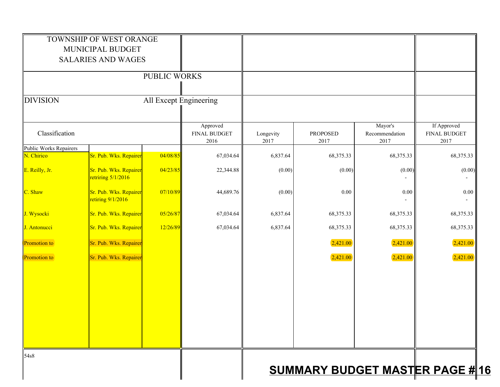|                                      | TOWNSHIP OF WEST ORANGE<br>MUNICIPAL BUDGET<br><b>SALARIES AND WAGES</b> |                        |                                         |                   |                  |                                   |                                            |
|--------------------------------------|--------------------------------------------------------------------------|------------------------|-----------------------------------------|-------------------|------------------|-----------------------------------|--------------------------------------------|
|                                      |                                                                          | PUBLIC WORKS           |                                         |                   |                  |                                   |                                            |
| <b>DIVISION</b>                      |                                                                          | All Except Engineering |                                         |                   |                  |                                   |                                            |
| Classification                       |                                                                          |                        | Approved<br><b>FINAL BUDGET</b><br>2016 | Longevity<br>2017 | PROPOSED<br>2017 | Mayor's<br>Recommendation<br>2017 | If Approved<br><b>FINAL BUDGET</b><br>2017 |
| Public Works Repairers<br>N. Chirico | Sr. Pub. Wks. Repairer                                                   | 04/08/85               | 67,034.64                               | 6,837.64          | 68,375.33        | 68,375.33                         | 68,375.33                                  |
| E. Reilly, Jr.                       | Sr. Pub. Wks. Repairer<br>retriring $5/1/2016$                           | 04/23/85               | 22,344.88                               | (0.00)            | (0.00)           | (0.00)                            | (0.00)                                     |
| C. Shaw                              | Sr. Pub. Wks. Repairer<br>retiring $9/1/2016$                            | 07/10/89               | 44,689.76                               | (0.00)            | 0.00             | $0.00\,$                          | $0.00\,$                                   |
| J. Wysocki                           | Sr. Pub. Wks. Repairer                                                   | 05/26/87               | 67,034.64                               | 6,837.64          | 68,375.33        | 68,375.33                         | 68,375.33                                  |
| J. Antonucci                         | Sr. Pub. Wks. Repairer                                                   | 12/26/89               | 67,034.64                               | 6,837.64          | 68,375.33        | 68,375.33                         | 68,375.33                                  |
| <b>Promotion to</b>                  | Sr. Pub. Wks. Repairer                                                   |                        |                                         |                   | 2,421.00         | 2,421.00                          | 2,421.00                                   |
| Promotion to                         | Sr. Pub. Wks. Repairer                                                   |                        |                                         |                   | 2,421.00         | 2,421.00                          | 2,421.00                                   |
|                                      |                                                                          |                        |                                         |                   |                  |                                   |                                            |
|                                      |                                                                          |                        |                                         |                   |                  |                                   |                                            |
|                                      |                                                                          |                        |                                         |                   |                  |                                   |                                            |
| 54s8                                 |                                                                          |                        |                                         |                   |                  |                                   | <b>SUMMARY BUDGET MASTER PAGE #16</b>      |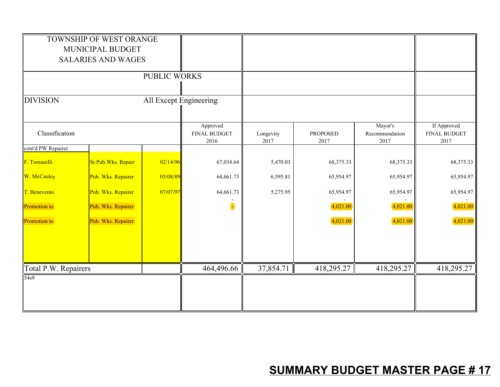|                      | TOWNSHIP OF WEST ORANGE<br>MUNICIPAL BUDGET<br><b>SALARIES AND WAGES</b> | PUBLIC WORKS           |                                         |                   |                         |                                   |                                            |
|----------------------|--------------------------------------------------------------------------|------------------------|-----------------------------------------|-------------------|-------------------------|-----------------------------------|--------------------------------------------|
| <b>DIVISION</b>      |                                                                          | All Except Engineering |                                         |                   |                         |                                   |                                            |
| Classification       |                                                                          |                        | Approved<br><b>FINAL BUDGET</b><br>2016 | Longevity<br>2017 | <b>PROPOSED</b><br>2017 | Mayor's<br>Recommendation<br>2017 | If Approved<br><b>FINAL BUDGET</b><br>2017 |
| cont'd PW Repairer   |                                                                          |                        |                                         |                   |                         |                                   |                                            |
| F. Tomaselli         | Sr.Pub.Wks. Repair                                                       | 02/14/96               | 67,034.64                               | 5,470.03          | 68,375.33               | 68,375.33                         | 68,375.33                                  |
| W. McCauley          | Pub. Wks. Repairer                                                       | 05/08/89               | 64,661.73                               | 6,595.81          | 65,954.97               | 65,954.97                         | 65,954.97                                  |
| T. Benevento         | Pub. Wks. Repairer                                                       | 07/07/97               | 64,661.73                               | 5,275.95          | 65,954.97               | 65,954.97                         | 65,954.97                                  |
| <b>Promotion</b> to  | Pub. Wks. Repairer                                                       |                        | $\bullet$                               |                   | 4,021.00                | 4,021.00                          | 4,021.00                                   |
| <b>Promotion</b> to  | Pub. Wks. Repairer                                                       |                        |                                         |                   | 4,021.00                | 4,021.00                          | 4,021.00                                   |
| Total P.W. Repairers |                                                                          |                        | 464,496.66                              | 37,854.71         | 418,295.27              | 418,295.27                        | 418,295.27                                 |
| 54 <sub>s</sub> 9    |                                                                          |                        |                                         |                   |                         |                                   |                                            |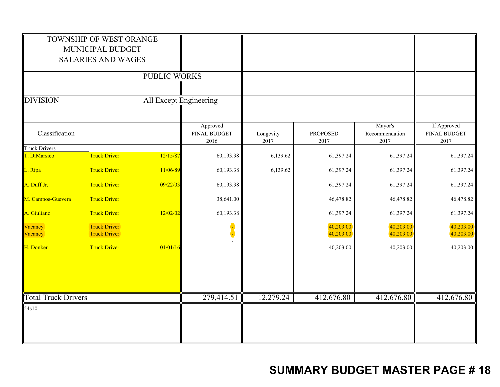|                                      | TOWNSHIP OF WEST ORANGE<br>MUNICIPAL BUDGET<br><b>SALARIES AND WAGES</b> | <b>PUBLIC WORKS</b>    |                                         |                   |                         |                                   |                                     |
|--------------------------------------|--------------------------------------------------------------------------|------------------------|-----------------------------------------|-------------------|-------------------------|-----------------------------------|-------------------------------------|
| <b>DIVISION</b>                      |                                                                          | All Except Engineering |                                         |                   |                         |                                   |                                     |
| Classification                       |                                                                          |                        | Approved<br><b>FINAL BUDGET</b><br>2016 | Longevity<br>2017 | <b>PROPOSED</b><br>2017 | Mayor's<br>Recommendation<br>2017 | If Approved<br>FINAL BUDGET<br>2017 |
| <b>Truck Drivers</b><br>T. DiMarsico | <b>Truck Driver</b>                                                      | 12/15/87               | 60,193.38                               | 6,139.62          | 61,397.24               | 61,397.24                         | 61,397.24                           |
| L. Ripa                              | <b>Truck Driver</b>                                                      | 11/06/89               | 60,193.38                               | 6,139.62          | 61,397.24               | 61,397.24                         | 61,397.24                           |
| A. Duff Jr.                          | <b>Truck Driver</b>                                                      | 09/22/03               | 60,193.38                               |                   | 61,397.24               | 61,397.24                         | 61,397.24                           |
| M. Campos-Guevera                    | <b>Truck Driver</b>                                                      |                        | 38,641.00                               |                   | 46,478.82               | 46,478.82                         | 46,478.82                           |
| A. Giuliano                          | <b>Truck Driver</b>                                                      | 12/02/02               | 60,193.38                               |                   | 61,397.24               | 61,397.24                         | 61,397.24                           |
| Vacancy<br>Vacancy                   | <b>Truck Driver</b><br><b>Truck Driver</b>                               |                        |                                         |                   | 40,203.00<br>40,203.00  | 40,203.00<br>40,203.00            | 40,203.00<br>40,203.00              |
| H. Donker                            | <b>Truck Driver</b>                                                      | 01/01/16               |                                         |                   | 40,203.00               | 40,203.00                         | 40,203.00                           |
|                                      |                                                                          |                        |                                         |                   |                         |                                   |                                     |
| <b>Total Truck Drivers</b>           |                                                                          |                        | 279,414.51                              | 12,279.24         | 412,676.80              | 412,676.80                        | 412,676.80                          |
| 54s10                                |                                                                          |                        |                                         |                   |                         |                                   |                                     |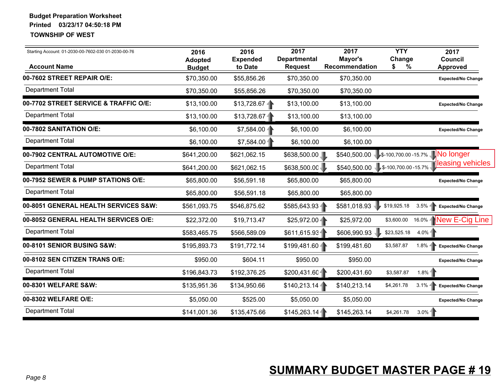| Starting Account: 01-2030-00-7602-030 01-2030-00-76 | 2016<br><b>Adopted</b>       | 2016<br><b>Expended</b> | 2017<br><b>Departmental</b>   | 2017<br>Mayor's                      | <b>YTY</b><br>Change | 2017<br>Council                              |
|-----------------------------------------------------|------------------------------|-------------------------|-------------------------------|--------------------------------------|----------------------|----------------------------------------------|
| <b>Account Name</b><br>00-7602 STREET REPAIR O/E:   | <b>Budget</b><br>\$70,350.00 | to Date<br>\$55,856.26  | <b>Request</b><br>\$70,350.00 | Recommendation<br>\$70,350.00        | \$<br>%              | <b>Approved</b><br><b>Expected/No Change</b> |
| <b>Department Total</b>                             | \$70,350.00                  | \$55,856.26             | \$70,350.00                   | \$70,350.00                          |                      |                                              |
| 00-7702 STREET SERVICE & TRAFFIC O/E:               | \$13,100.00                  | \$13,728.67             | \$13,100.00                   | \$13,100.00                          |                      | <b>Expected/No Change</b>                    |
| <b>Department Total</b>                             | \$13,100.00                  | \$13,728.67             | \$13,100.00                   | \$13,100.00                          |                      |                                              |
| 00-7802 SANITATION O/E:                             | \$6,100.00                   | $$7,584.00 -$           | \$6,100.00                    | \$6,100.00                           |                      | <b>Expected/No Change</b>                    |
| <b>Department Total</b>                             | \$6,100.00                   | \$7,584.00              | \$6,100.00                    | \$6,100.00                           |                      |                                              |
| 00-7902 CENTRAL AUTOMOTIVE O/E:                     | \$641,200.00                 | \$621,062.15            | \$638,500.00                  | \$540,500.00                         |                      | 5-100,700.00-15.7% No longer                 |
| <b>Department Total</b>                             | \$641,200.00                 | \$621,062.15            | \$638,500.00                  | $$540,500.00$ $$-100,700.00 -15.7\%$ |                      | leasing vehicles                             |
| 00-7952 SEWER & PUMP STATIONS O/E:                  | \$65,800.00                  | \$56,591.18             | \$65,800.00                   | \$65,800.00                          |                      | <b>Expected/No Change</b>                    |
| <b>Department Total</b>                             | \$65,800.00                  | \$56,591.18             | \$65,800.00                   | \$65,800.00                          |                      |                                              |
| 00-8051 GENERAL HEALTH SERVICES S&W:                | \$561,093.75                 | \$546,875.62            | \$585,643.93                  | \$581,018.93                         | \$19,925.18          | $3.5\%$<br><b>Expected/No Change</b>         |
| 00-8052 GENERAL HEALTH SERVICES O/E:                | \$22,372.00                  | \$19,713.47             | $$25,972.00 -$                | \$25,972.00                          | \$3,600.00           | 16.0% New E-Cig Line                         |
| <b>Department Total</b>                             | \$583,465.75                 | \$566,589.09            | \$611,615.93                  | \$606,990.93                         | \$23,525.18          | $4.0\%$                                      |
| 00-8101 SENIOR BUSING S&W:                          | \$195,893.73                 | \$191,772.14            | $$199,481.60 -$               | \$199,481.60                         | \$3,587.87           | $1.8\% -$<br><b>Expected/No Change</b>       |
| 00-8102 SEN CITIZEN TRANS O/E:                      | \$950.00                     | \$604.11                | \$950.00                      | \$950.00                             |                      | <b>Expected/No Change</b>                    |
| <b>Department Total</b>                             | \$196,843.73                 | \$192,376.25            | \$200,431.601                 | \$200,431.60                         | \$3,587.87           | 1.8%                                         |
| 00-8301 WELFARE S&W:                                | \$135,951.36                 | \$134,950.66            | \$140,213.14                  | \$140,213.14                         | \$4,261.78           | $3.1\%$<br>Expected/No Change                |
| 00-8302 WELFARE O/E:                                | \$5,050.00                   | \$525.00                | \$5,050.00                    | \$5,050.00                           |                      | <b>Expected/No Change</b>                    |
| <b>Department Total</b>                             | \$141,001.36                 | \$135,475.66            | \$145,263.14                  | \$145,263.14                         | \$4,261.78           | $3.0\%$                                      |
| Page 8                                              |                              |                         |                               |                                      |                      | <b>SUMMARY BUDGET MASTER PAGE # 19</b>       |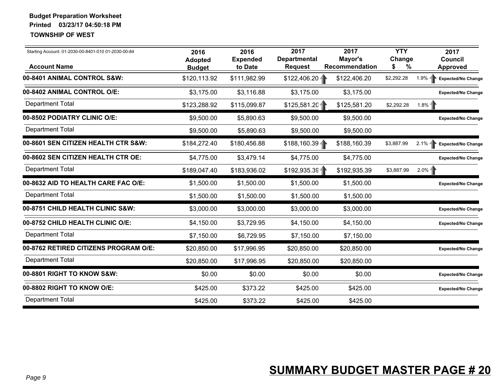| Starting Account: 01-2030-00-8401-010 01-2030-00-84<br><b>Account Name</b> | 2016<br><b>Adopted</b><br><b>Budget</b> | 2016<br><b>Expended</b><br>to Date | 2017<br><b>Departmental</b><br><b>Request</b> | 2017<br>Mayor's<br>Recommendation | <b>YTY</b><br>Change<br>%<br>S | 2017<br>Council<br><b>Approved</b>     |
|----------------------------------------------------------------------------|-----------------------------------------|------------------------------------|-----------------------------------------------|-----------------------------------|--------------------------------|----------------------------------------|
| 00-8401 ANIMAL CONTROL S&W:                                                | \$120,113.92                            | \$111,982.99                       | $$122,406.20 -$                               | \$122,406.20                      | \$2,292.28                     | $1.9\% -$<br><b>Expected/No Change</b> |
| 00-8402 ANIMAL CONTROL O/E:                                                | \$3,175.00                              | \$3,116.88                         | \$3,175.00                                    | \$3,175.00                        |                                | Expected/No Change                     |
| <b>Department Total</b>                                                    | \$123,288.92                            | \$115,099.87                       | \$125,581.20                                  | \$125,581.20                      | \$2,292.28                     | $1.8%$ 1                               |
| 00-8502 PODIATRY CLINIC O/E:                                               | \$9,500.00                              | \$5,890.63                         | \$9,500.00                                    | \$9,500.00                        |                                | <b>Expected/No Change</b>              |
| <b>Department Total</b>                                                    | \$9,500.00                              | \$5,890.63                         | \$9,500.00                                    | \$9,500.00                        |                                |                                        |
| 00-8601 SEN CITIZEN HEALTH CTR S&W:                                        | \$184,272.40                            | \$180,456.88                       | $$188,160.39 -$                               | \$188,160.39                      | \$3,887.99                     | $2.1\% -$<br><b>Expected/No Change</b> |
| 00-8602 SEN CITIZEN HEALTH CTR OE:                                         | \$4,775.00                              | \$3,479.14                         | \$4,775.00                                    | \$4,775.00                        |                                | <b>Expected/No Change</b>              |
| <b>Department Total</b>                                                    | \$189,047.40                            | \$183,936.02                       | \$192,935.39                                  | \$192,935.39                      | \$3,887.99                     | $2.0\%$ -                              |
| 00-8632 AID TO HEALTH CARE FAC O/E:                                        | \$1,500.00                              | \$1,500.00                         | \$1,500.00                                    | \$1,500.00                        |                                | <b>Expected/No Change</b>              |
| <b>Department Total</b>                                                    | \$1,500.00                              | \$1,500.00                         | \$1,500.00                                    | \$1,500.00                        |                                |                                        |
| 00-8751 CHILD HEALTH CLINIC S&W:                                           | \$3,000.00                              | \$3,000.00                         | \$3,000.00                                    | \$3,000.00                        |                                | <b>Expected/No Change</b>              |
| 00-8752 CHILD HEALTH CLINIC O/E:                                           | \$4,150.00                              | \$3,729.95                         | \$4,150.00                                    | \$4,150.00                        |                                | <b>Expected/No Change</b>              |
| <b>Department Total</b>                                                    | \$7,150.00                              | \$6,729.95                         | \$7,150.00                                    | \$7,150.00                        |                                |                                        |
| 00-8762 RETIRED CITIZENS PROGRAM O/E:                                      | \$20,850.00                             | \$17,996.95                        | \$20,850.00                                   | \$20,850.00                       |                                | <b>Expected/No Change</b>              |
| <b>Department Total</b>                                                    | \$20,850.00                             | \$17,996.95                        | \$20,850.00                                   | \$20,850.00                       |                                |                                        |
| 00-8801 RIGHT TO KNOW S&W:                                                 | \$0.00                                  | \$0.00                             | \$0.00                                        | \$0.00                            |                                | <b>Expected/No Change</b>              |
| 00-8802 RIGHT TO KNOW O/E:                                                 | \$425.00                                | \$373.22                           | \$425.00                                      | \$425.00                          |                                | <b>Expected/No Change</b>              |
| <b>Department Total</b>                                                    | \$425.00                                | \$373.22                           | \$425.00                                      | \$425.00                          |                                |                                        |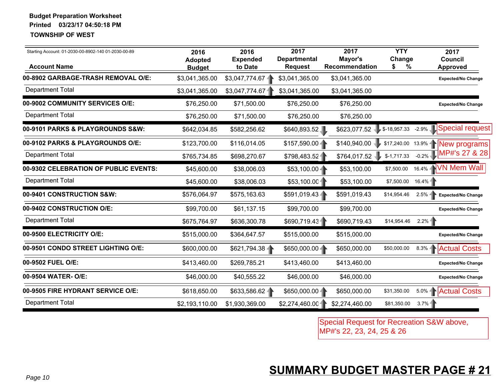| Starting Account: 01-2030-00-8902-140 01-2030-00-89       | 2016<br><b>Adopted</b> | 2016<br><b>Expended</b> | 2017<br><b>Departmental</b> | 2017<br>Mayor's             | <b>YTY</b><br>Change | 2017<br>Council                           |
|-----------------------------------------------------------|------------------------|-------------------------|-----------------------------|-----------------------------|----------------------|-------------------------------------------|
| <b>Account Name</b><br>00-8902 GARBAGE-TRASH REMOVAL O/E: | <b>Budget</b>          | to Date                 | <b>Request</b>              | Recommendation              | \$<br>%              | <b>Approved</b>                           |
|                                                           | \$3,041,365.00         | \$3,047,774.67          | \$3,041,365.00              | \$3,041,365.00              |                      | <b>Expected/No Change</b>                 |
| <b>Department Total</b>                                   | \$3,041,365.00         | \$3,047,774.67          | \$3,041,365.00              | \$3,041,365.00              |                      |                                           |
| 00-9002 COMMUNITY SERVICES O/E:                           | \$76,250.00            | \$71,500.00             | \$76,250.00                 | \$76,250.00                 |                      | <b>Expected/No Change</b>                 |
| <b>Department Total</b>                                   | \$76,250.00            | \$71,500.00             | \$76,250.00                 | \$76,250.00                 |                      |                                           |
| 00-9101 PARKS & PLAYGROUNDS S&W:                          | \$642,034.85           | \$582,256.62            | \$640,893.52                | $$623,077.52$ $$-18,957.33$ |                      | -2.9% Special request                     |
| 00-9102 PARKS & PLAYGROUNDS O/E:                          | \$123,700.00           | \$116,014.05            | $$157,590.00 -$             | \$140,940.00                |                      | \$17,240.00 13.9%   New programs          |
| <b>Department Total</b>                                   | \$765,734.85           | \$698,270.67            | \$798,483.52                | \$764,017.52                | $$-1,717.33$         | $_{-0.2\%}$ MP#'s 27 & 28                 |
| 00-9302 CELEBRATION OF PUBLIC EVENTS:                     | \$45,600.00            | \$38,006.03             | $$53,100.00 -$              | \$53,100.00                 | \$7,500.00           | 16.4% - <b>NVN Mem Wall</b>               |
| <b>Department Total</b>                                   | \$45,600.00            | \$38,006.03             | \$53,100.00                 | \$53,100.00                 | \$7,500.00           | $16.4\%$                                  |
| 00-9401 CONSTRUCTION S&W:                                 | \$576,064.97           | \$575,163.63            | \$591,019.43                | \$591,019.43                | \$14,954.46          | $2.5\%$<br>Expected/No Change             |
| 00-9402 CONSTRUCTION O/E:                                 | \$99,700.00            | \$61,137.15             | \$99,700.00                 | \$99,700.00                 |                      | Expected/No Change                        |
| <b>Department Total</b>                                   | \$675,764.97           | \$636,300.78            | \$690,719.43                | \$690,719.43                | \$14,954.46          | 2.2%                                      |
| 00-9500 ELECTRICITY O/E:                                  | \$515,000.00           | \$364,647.57            | \$515,000.00                | \$515,000.00                |                      | <b>Expected/No Change</b>                 |
| 00-9501 CONDO STREET LIGHTING O/E:                        | \$600,000.00           | \$621,794.38            | \$650,000.00                | \$650,000.00                | \$50,000.00          | 8.3%   Actual Costs                       |
| 00-9502 FUEL O/E:                                         | \$413,460.00           | \$269,785.21            | \$413,460.00                | \$413,460.00                |                      | <b>Expected/No Change</b>                 |
| 00-9504 WATER- O/E:                                       | \$46,000.00            | \$40,555.22             | \$46,000.00                 | \$46,000.00                 |                      | <b>Expected/No Change</b>                 |
| 00-9505 FIRE HYDRANT SERVICE O/E:                         | \$618,650.00           | \$633,586.62            | \$650,000.00                | \$650,000.00                | \$31,350.00          | 5.0%   Actual Costs                       |
| <b>Department Total</b>                                   | \$2,193,110.00         | \$1,930,369.00          | \$2,274,460.00              | \$2,274,460.00              | \$81,350.00          | 3.7%                                      |
|                                                           |                        |                         |                             | MP#'s 22, 23, 24, 25 & 26   |                      | Special Request for Recreation S&W above, |
| Page 10                                                   |                        |                         |                             |                             |                      | <b>SUMMARY BUDGET MASTER PAGE # 21</b>    |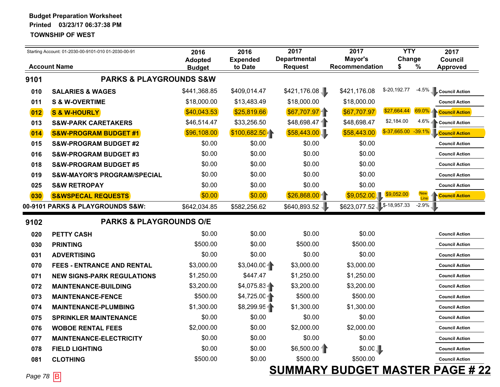| Starting Account: 01-2030-00-9101-010 01-2030-00-91 |                                        | 2016<br><b>Adopted</b> | 2016<br><b>Expended</b> | 2017<br><b>Departmental</b> |                              | <b>YTY</b><br>Change |                    | 2017<br><b>Council</b> |
|-----------------------------------------------------|----------------------------------------|------------------------|-------------------------|-----------------------------|------------------------------|----------------------|--------------------|------------------------|
|                                                     | <b>Account Name</b>                    | <b>Budget</b>          | to Date                 | <b>Request</b>              | Recommendation               | \$                   | %                  | <b>Approved</b>        |
| 9101                                                | <b>PARKS &amp; PLAYGROUNDS S&amp;W</b> |                        |                         |                             |                              |                      |                    |                        |
| 010                                                 | <b>SALARIES &amp; WAGES</b>            | \$441,368.85           | \$409,014.47            | \$421,176.08                | \$421,176.08                 | \$-20,192.77         | $-4.5%$            | <b>Council Action</b>  |
| 011                                                 | <b>S &amp; W-OVERTIME</b>              | \$18,000.00            | \$13,483.49             | \$18,000.00                 | \$18,000.00                  |                      |                    | <b>Council Action</b>  |
| 012                                                 | <b>S &amp; W-HOURLY</b>                | \$40,043.53            | \$25,819.66             | \$67,707.97                 | \$67,707.97                  | \$27,664.44          | 69.0%              | <b>Council Action</b>  |
| 013                                                 | <b>S&amp;W-PARK CARETAKERS</b>         | \$46,514.47            | \$33,256.50             | \$48,698.47                 | \$48,698.47                  | \$2,184.00           | 4.6%               | <b>Council Action</b>  |
| 014                                                 | <b>S&amp;W-PROGRAM BUDGET #1</b>       | \$96,108.00            | \$100,682.50            | \$58,443.00                 | \$58,443.00                  | $$-37,665.00$        | $-39.1%$           | <b>Council Action</b>  |
| 015                                                 | <b>S&amp;W-PROGRAM BUDGET #2</b>       | \$0.00                 | \$0.00                  | \$0.00                      | \$0.00                       |                      |                    | <b>Council Action</b>  |
| 016                                                 | <b>S&amp;W-PROGRAM BUDGET #3</b>       | \$0.00                 | \$0.00                  | \$0.00                      | \$0.00                       |                      |                    | <b>Council Action</b>  |
| 018                                                 | <b>S&amp;W-PROGRAM BUDGET #5</b>       | \$0.00                 | \$0.00                  | \$0.00                      | \$0.00                       |                      |                    | <b>Council Action</b>  |
| 019                                                 | <b>S&amp;W-MAYOR'S PROGRAM/SPECIAL</b> | \$0.00                 | \$0.00                  | \$0.00                      | \$0.00                       |                      |                    | <b>Council Action</b>  |
| 025                                                 | <b>S&amp;W RETROPAY</b>                | \$0.00                 | \$0.00                  | \$0.00                      | \$0.00                       |                      |                    | <b>Council Action</b>  |
| 030                                                 | <b>S&amp;WSPECAL REQUESTS</b>          | \$0.00]                | \$0.00                  | \$26,868.00                 | \$9,052.00                   | \$9,052.00           | <b>New</b><br>Line | <b>Council Action</b>  |
|                                                     | 00-9101 PARKS & PLAYGROUNDS S&W:       | \$642,034.85           | \$582,256.62            | \$640,893.52                | \$623,077.52                 | \$-18,957.33         | $-2.9\%$           |                        |
| 9102                                                | <b>PARKS &amp; PLAYGROUNDS O/E</b>     |                        |                         |                             |                              |                      |                    |                        |
| 020                                                 | <b>PETTY CASH</b>                      | \$0.00                 | \$0.00                  | \$0.00                      | \$0.00                       |                      |                    | <b>Council Action</b>  |
| 030                                                 | <b>PRINTING</b>                        | \$500.00               | \$0.00                  | \$500.00                    | \$500.00                     |                      |                    | <b>Council Action</b>  |
| 031                                                 | <b>ADVERTISING</b>                     | \$0.00                 | \$0.00                  | \$0.00                      | \$0.00                       |                      |                    | <b>Council Action</b>  |
| 070                                                 | <b>FEES - ENTRANCE AND RENTAL</b>      | \$3,000.00             | \$3,040.00              | \$3,000.00                  | \$3,000.00                   |                      |                    | <b>Council Action</b>  |
| 071                                                 | <b>NEW SIGNS-PARK REGULATIONS</b>      | \$1,250.00             | \$447.47                | \$1,250.00                  | \$1,250.00                   |                      |                    | <b>Council Action</b>  |
| 072                                                 | <b>MAINTENANCE-BUILDING</b>            | \$3,200.00             | \$4,075.83              | \$3,200.00                  | \$3,200.00                   |                      |                    | <b>Council Action</b>  |
| 073                                                 | <b>MAINTENANCE-FENCE</b>               | \$500.00               | \$4,725.00              | \$500.00                    | \$500.00                     |                      |                    | <b>Council Action</b>  |
| 074                                                 | <b>MAINTENANCE-PLUMBING</b>            | \$1,300.00             | \$8,299.954             | \$1,300.00                  | \$1,300.00                   |                      |                    | <b>Council Action</b>  |
| 075                                                 | <b>SPRINKLER MAINTENANCE</b>           | \$0.00                 | \$0.00                  | \$0.00                      | \$0.00                       |                      |                    | <b>Council Action</b>  |
| 076                                                 | <b>WOBOE RENTAL FEES</b>               | \$2,000.00             | \$0.00                  | \$2,000.00                  | \$2,000.00                   |                      |                    | <b>Council Action</b>  |
| 077                                                 | <b>MAINTENANCE-ELECTRICITY</b>         | \$0.00                 | \$0.00                  | \$0.00                      | \$0.00                       |                      |                    | <b>Council Action</b>  |
| 078                                                 | <b>FIELD LIGHTING</b>                  | \$0.00                 | \$0.00                  | \$6,500.00                  | \$0.00                       |                      |                    | <b>Council Action</b>  |
| 081                                                 | <b>CLOTHING</b>                        | \$500.00               | \$0.00                  | \$500.00                    | \$500.00                     |                      |                    | <b>Council Action</b>  |
|                                                     | $\overline{\phantom{0}}$               |                        |                         |                             | <b>SUMMARY BUDGET MASTER</b> |                      |                    | <b>PAGE #22</b>        |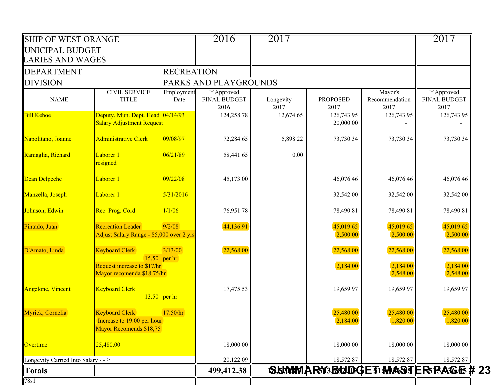| <b>SHIP OF WEST ORANGE</b>         |                                                                                             |                           | 2016                                       | 2017              |                         |                                   | 2017                                       |
|------------------------------------|---------------------------------------------------------------------------------------------|---------------------------|--------------------------------------------|-------------------|-------------------------|-----------------------------------|--------------------------------------------|
| UNICIPAL BUDGET                    |                                                                                             |                           |                                            |                   |                         |                                   |                                            |
| <b>LARIES AND WAGES</b>            |                                                                                             |                           |                                            |                   |                         |                                   |                                            |
| <b>DEPARTMENT</b>                  |                                                                                             | <b>RECREATION</b>         |                                            |                   |                         |                                   |                                            |
| <b>DIVISION</b>                    |                                                                                             |                           | PARKS AND PLAYGROUNDS                      |                   |                         |                                   |                                            |
| <b>NAME</b>                        | <b>CIVIL SERVICE</b><br><b>TITLE</b>                                                        | Employment<br>Date        | If Approved<br><b>FINAL BUDGET</b><br>2016 | Longevity<br>2017 | <b>PROPOSED</b><br>2017 | Mayor's<br>Recommendation<br>2017 | If Approved<br><b>FINAL BUDGET</b><br>2017 |
| <b>Bill Kehoe</b>                  | Deputy. Mun. Dept. Head 04/14/93<br><b>Salary Adjustment Request</b>                        |                           | 124,258.78                                 | 12,674.65         | 126,743.95<br>20,000.00 | 126,743.95                        | 126,743.95                                 |
| Napolitano, Joanne                 | <b>Administrative Clerk</b>                                                                 | 09/08/97                  | 72,284.65                                  | 5,898.22          | 73,730.34               | 73,730.34                         | 73,730.34                                  |
| Ramaglia, Richard                  | Laborer 1<br>resigned                                                                       | 06/21/89                  | 58,441.65                                  | 0.00              |                         |                                   |                                            |
| Dean Delpeche                      | Laborer 1                                                                                   | 09/22/08                  | 45,173.00                                  |                   | 46,076.46               | 46,076.46                         | 46,076.46                                  |
| Manzella, Joseph                   | Laborer 1                                                                                   | 5/31/2016                 |                                            |                   | 32,542.00               | 32,542.00                         | 32,542.00                                  |
| Johnson, Edwin                     | Rec. Prog. Cord.                                                                            | 1/1/06                    | 76,951.78                                  |                   | 78,490.81               | 78,490.81                         | 78,490.81                                  |
| Pintado, Juan                      | <b>Recreation Leader</b><br>Adjust Salary Range - \$5,000 over 2 yrs                        | 9/2/08                    | 44,136.91                                  |                   | 45,019.65<br>2,500.00   | 45,019.65<br>2,500.00             | 45,019.65<br>2,500.00                      |
| D'Amato, Linda                     | <b>Keyboard Clerk</b><br>15.50<br>Request increase to \$17/hr<br>Mayor recomenda \$18.75/hr | 3/13/00<br>$\vert$ per hr | 22,568.00                                  |                   | 22,568.00<br>2,184.00   | 22,568.00<br>2,184.00<br>2,548.00 | 22,568.00<br>2,184.00<br>2,548.00          |
| <b>Angelone</b> , Vincent          | <b>Keyboard Clerk</b><br>$13.50$ per hr                                                     |                           | 17,475.53                                  |                   | 19,659.97               | 19,659.97                         | 19,659.97                                  |
| Myrick, Cornelia                   | <b>Keyboard Clerk</b><br>Increase to 19.00 per hour<br>Mayor Recomends \$18,75              | 17.50/hr                  |                                            |                   | 25,480.00<br>2,184.00   | 25,480.00<br>1,820.00             | 25,480.00<br>1,820.00                      |
| Overtime                           | 25,480.00                                                                                   |                           | 18,000.00                                  |                   | 18,000.00               | 18,000.00                         | 18,000.00                                  |
| Longevity Carried Into Salary - -> |                                                                                             |                           | 20,122.09                                  |                   | 18,572.87               | 18,572.87                         | 18,572.87                                  |
| <b>Totals</b>                      |                                                                                             |                           | 499,412.38                                 |                   |                         |                                   | SUMMARY3BUDGET1MASTER BAGE # 23            |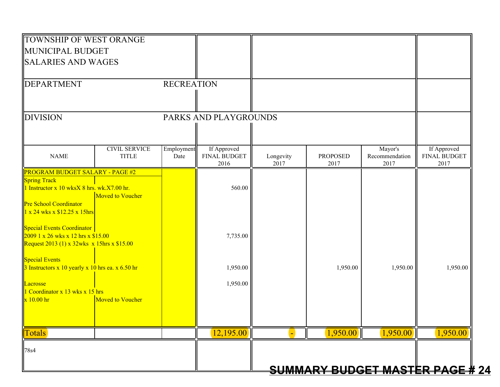| <b>MUNICIPAL BUDGET</b>                                                     |                    |                       |           |                 |                |                             |
|-----------------------------------------------------------------------------|--------------------|-----------------------|-----------|-----------------|----------------|-----------------------------|
| <b>SALARIES AND WAGES</b>                                                   |                    |                       |           |                 |                |                             |
|                                                                             |                    |                       |           |                 |                |                             |
| DEPARTMENT                                                                  | <b>RECREATION</b>  |                       |           |                 |                |                             |
|                                                                             |                    |                       |           |                 |                |                             |
| <b>DIVISION</b>                                                             |                    | PARKS AND PLAYGROUNDS |           |                 |                |                             |
|                                                                             |                    |                       |           |                 |                |                             |
| <b>CIVIL SERVICE</b>                                                        |                    | If Approved           |           |                 | Mayor's        |                             |
| <b>NAME</b><br><b>TITLE</b>                                                 | Employment<br>Date | FINAL BUDGET          | Longevity | <b>PROPOSED</b> | Recommendation | If Approved<br>FINAL BUDGET |
| <b>PROGRAM BUDGET SALARY - PAGE #2</b>                                      |                    | 2016                  | 2017      | 2017            | 2017           | 2017                        |
| <b>Spring Track</b>                                                         |                    |                       |           |                 |                |                             |
| 1 Instructor x 10 wksX 8 hrs. wk.X7.00 hr.                                  |                    | 560.00                |           |                 |                |                             |
| <b>Moved to Voucher</b><br><b>Pre School Coordinator</b>                    |                    |                       |           |                 |                |                             |
| $1 \times 24$ wks x \$12.25 x 15hrs                                         |                    |                       |           |                 |                |                             |
| Special Events Coordinator                                                  |                    |                       |           |                 |                |                             |
| 2009 1 x 26 wks x 12 hrs x \$15.00                                          |                    | 7,735.00              |           |                 |                |                             |
| Request 2013 (1) x $32wks$ x 15hrs x \$15.00                                |                    |                       |           |                 |                |                             |
| <b>Special Events</b><br>$3$ Instructors x 10 yearly x 10 hrs ea. x 6.50 hr |                    | 1,950.00              |           | 1,950.00        | 1,950.00       | 1,950.00                    |
|                                                                             |                    |                       |           |                 |                |                             |
| Lacrosse<br>1 Coordinator x 13 wks x 15 hrs                                 |                    | 1,950.00              |           |                 |                |                             |
| $\mathbf{\overline{x}}$ 10.00 hr<br><b>Moved to Voucher</b>                 |                    |                       |           |                 |                |                             |
|                                                                             |                    |                       |           |                 |                |                             |
|                                                                             |                    |                       |           |                 |                |                             |
| <b>Totals</b>                                                               |                    | 12,195.00             |           | 1,950.00        | 1,950.00       | 1,950.00                    |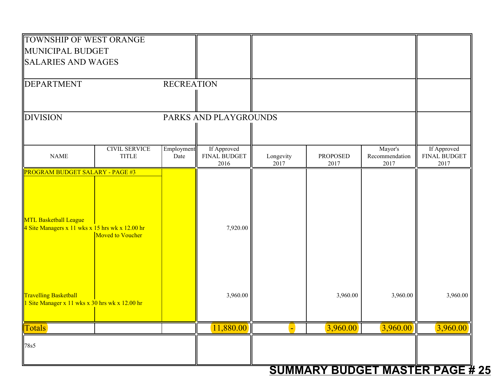| TOWNSHIP OF WEST ORANGE<br>MUNICIPAL BUDGET<br><b>SALARIES AND WAGES</b>                            |                    |                                     |                   |                                     |                                   |                                            |
|-----------------------------------------------------------------------------------------------------|--------------------|-------------------------------------|-------------------|-------------------------------------|-----------------------------------|--------------------------------------------|
| DEPARTMENT                                                                                          | <b>RECREATION</b>  |                                     |                   |                                     |                                   |                                            |
| <b>DIVISION</b>                                                                                     |                    | PARKS AND PLAYGROUNDS               |                   |                                     |                                   |                                            |
| <b>CIVIL SERVICE</b><br><b>NAME</b><br><b>TITLE</b>                                                 | Employment<br>Date | If Approved<br>FINAL BUDGET<br>2016 | Longevity<br>2017 | <b>PROPOSED</b><br>2017             | Mayor's<br>Recommendation<br>2017 | If Approved<br><b>FINAL BUDGET</b><br>2017 |
| MTL Basketball League<br>4 Site Managers x 11 wks x 15 hrs wk x 12.00 hr<br><b>Moved to Voucher</b> |                    | 7,920.00                            |                   |                                     |                                   |                                            |
| <b>Travelling Basketball</b><br>1 Site Manager x 11 wks x 30 hrs wk x 12.00 hr                      |                    | 3,960.00                            |                   | 3,960.00                            | 3,960.00                          | 3,960.00                                   |
| Totals                                                                                              |                    | 11,880.00                           |                   | 3,960.00                            | 3,960.00                          | 3,960.00                                   |
| 78s5                                                                                                |                    |                                     |                   | <b>SUMMARY BUDGET MASTER PAGE #</b> |                                   |                                            |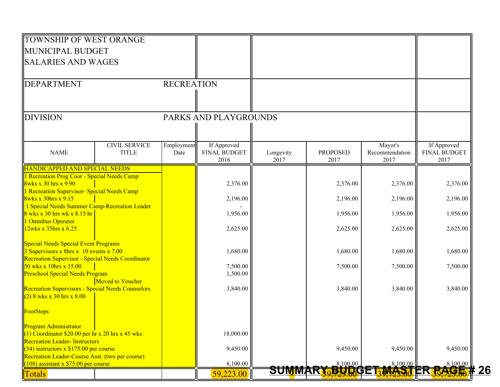| TOWNSHIP OF WEST ORANGE                                                                     |                      |                   |                             |                   |                         |                        |                             |
|---------------------------------------------------------------------------------------------|----------------------|-------------------|-----------------------------|-------------------|-------------------------|------------------------|-----------------------------|
| MUNICIPAL BUDGET                                                                            |                      |                   |                             |                   |                         |                        |                             |
| <b>SALARIES AND WAGES</b>                                                                   |                      |                   |                             |                   |                         |                        |                             |
|                                                                                             |                      |                   |                             |                   |                         |                        |                             |
| <b>DEPARTMENT</b>                                                                           |                      | <b>RECREATION</b> |                             |                   |                         |                        |                             |
|                                                                                             |                      |                   |                             |                   |                         |                        |                             |
|                                                                                             |                      |                   |                             |                   |                         |                        |                             |
| <b>DIVISION</b>                                                                             |                      |                   | PARKS AND PLAYGROUNDS       |                   |                         |                        |                             |
|                                                                                             |                      |                   |                             |                   |                         |                        |                             |
|                                                                                             | <b>CIVIL SERVICE</b> | Employment        | If Approved                 |                   |                         | Mayor's                | If Approved                 |
| <b>NAME</b>                                                                                 | <b>TITLE</b>         | Date              | <b>FINAL BUDGET</b><br>2016 | Longevity<br>2017 | <b>PROPOSED</b><br>2017 | Recommendation<br>2017 | <b>FINAL BUDGET</b><br>2017 |
| <b>HANDICAPPED AND SPECIAL NEEDS</b>                                                        |                      |                   |                             |                   |                         |                        |                             |
| 1 Recreation Prog Coor - Special Needs Camp<br><b>8wks x 30 hrs x 9.90</b>                  |                      |                   | 2,376.00                    |                   | 2,376.00                | 2,376.00               | 2,376.00                    |
| l Recreation Supervisor- Special Needs Camp                                                 |                      |                   |                             |                   |                         |                        |                             |
| <b>8wks x 30hrs x 9.15</b>                                                                  |                      |                   | 2,196.00                    |                   | 2,196.00                | 2,196.00               | 2,196.00                    |
| 1 Special Needs Summer Camp-Recreation Leader<br>8 wks x 30 hrs wk x 8.15 hr                |                      |                   | 1,956.00                    |                   | 1,956.00                | 1,956.00               | 1,956.00                    |
| 1 Omnibus Operator                                                                          |                      |                   |                             |                   |                         |                        |                             |
| $12w$ ks x 35hrs x 6.25                                                                     |                      |                   | 2,625.00                    |                   | 2,625.00                | 2,625.00               | 2,625.00                    |
| <b>Special Needs Special Event Programs</b>                                                 |                      |                   |                             |                   |                         |                        |                             |
| 3 Supervisors x 8hrs x 10 events x 7.00                                                     |                      |                   | 1,680.00                    |                   | 1,680.00                | 1,680.00               | 1,680.00                    |
| Recreation Supervisor - Special Needs Coordinator<br>50 wks x 10hrs x 15.00                 |                      |                   | 7,500.00                    |                   | 7,500.00                | 7,500.00               | 7,500.00                    |
| <b>Preschool Special Needs Program</b>                                                      |                      |                   | 1,500.00                    |                   |                         |                        |                             |
| <b>Recreation Supervisors - Special Needs Counselors</b>                                    | Moved to Voucher     |                   | 3,840.00                    |                   | 3,840.00                | 3,840.00               | 3,840.00                    |
| $(2)$ 8 wks x 30 hrs x 8.00                                                                 |                      |                   |                             |                   |                         |                        |                             |
| FootSteps                                                                                   |                      |                   |                             |                   |                         |                        |                             |
| <b>Program Administrator</b>                                                                |                      |                   |                             |                   |                         |                        |                             |
| $(1)$ Coordinator \$20.00 per hr x 20 hrs x 45 wks                                          |                      |                   | 18,000.00                   |                   |                         |                        |                             |
| <b>Recreation Leader- Instructors</b>                                                       |                      |                   |                             |                   |                         |                        |                             |
| $(54)$ instructors x \$175.00 per course<br>Recreation Leader-Course Asst. (two per course) |                      |                   | 9,450.00                    |                   | 9,450.00                | 9,450.00               | 9,450.00                    |
| $(108)$ assistant x \$75.00 per course                                                      |                      |                   | 8,100.00                    |                   | 8,100.00                | 8,100.00               | 8,100.00                    |
| <b>Totals</b>                                                                               |                      |                   | 59,223.00                   | <b>SUMM</b>       | <b>BRAIN</b>            |                        | <u> ११ ग्रा</u>             |

**26**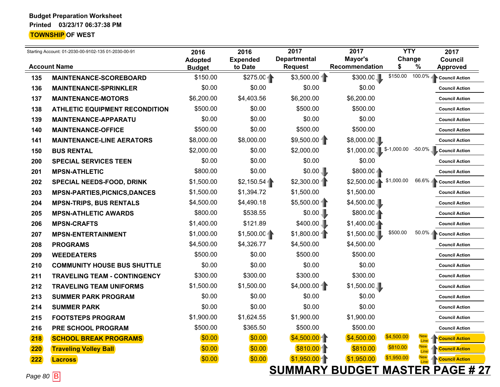|     | Starting Account: 01-2030-00-9102-135 01-2030-00-91      | 2016                      | 2016                       | 2017                                  | 2017                      | <b>YTY</b>    |                           | 2017                                           |
|-----|----------------------------------------------------------|---------------------------|----------------------------|---------------------------------------|---------------------------|---------------|---------------------------|------------------------------------------------|
|     | <b>Account Name</b>                                      | <b>Adopted</b>            | <b>Expended</b><br>to Date | <b>Departmental</b><br><b>Request</b> | Mayor's<br>Recommendation | Change<br>\$  | $\%$                      | <b>Council</b><br><b>Approved</b>              |
| 135 | <b>MAINTENANCE-SCOREBOARD</b>                            | <b>Budget</b><br>\$150.00 | \$275.00                   | \$3,500.00                            | \$300.00                  | \$150.00      | $100.0\%$                 | <b>Council Action</b>                          |
| 136 | <b>MAINTENANCE-SPRINKLER</b>                             | \$0.00                    | \$0.00                     | \$0.00                                | \$0.00                    |               |                           | <b>Council Action</b>                          |
| 137 |                                                          | \$6,200.00                | \$4,403.56                 | \$6,200.00                            | \$6,200.00                |               |                           | <b>Council Action</b>                          |
| 138 | <b>MAINTENANCE-MOTORS</b>                                | \$500.00                  | \$0.00                     | \$500.00                              | \$500.00                  |               |                           | <b>Council Action</b>                          |
| 139 | <b>ATHLETIC EQUIPMENT RECONDITION</b>                    | \$0.00                    | \$0.00                     | \$0.00                                | \$0.00                    |               |                           | <b>Council Action</b>                          |
| 140 | <b>MAINTENANCE-APPARATU</b><br><b>MAINTENANCE-OFFICE</b> | \$500.00                  | \$0.00                     | \$500.00                              | \$500.00                  |               |                           | <b>Council Action</b>                          |
|     |                                                          | \$8,000.00                | \$8,000.00                 | \$9,500.00                            | \$8,000.00                |               |                           |                                                |
| 141 | <b>MAINTENANCE-LINE AERATORS</b>                         | \$2,000.00                | \$0.00                     | \$2,000.00                            | $$1,000.00$ \$-1,000.00   |               | $-50.0\%$                 | <b>Council Action</b><br><b>Council Action</b> |
| 150 | <b>BUS RENTAL</b>                                        | \$0.00                    | \$0.00                     | \$0.00                                | \$0.00                    |               |                           |                                                |
| 200 | <b>SPECIAL SERVICES TEEN</b>                             | \$800.00                  | \$0.00                     | \$0.00                                |                           |               |                           | <b>Council Action</b>                          |
| 201 | <b>MPSN-ATHLETIC</b>                                     | \$1,500.00                |                            | \$2,300.00                            | $$800.00 -$               | \$1,000.00    | $66.6\%$                  | <b>Council Action</b>                          |
| 202 | <b>SPECIAL NEEDS-FOOD, DRINK</b>                         |                           | \$2,150.54<br>\$1,394.72   | \$1,500.00                            | $$2,500.00 -$             |               |                           | <b>Council Action</b>                          |
| 203 | <b>MPSN-PARTIES, PICNICS, DANCES</b>                     | \$1,500.00                |                            |                                       | \$1,500.00                |               |                           | <b>Council Action</b>                          |
| 204 | <b>MPSN-TRIPS, BUS RENTALS</b>                           | \$4,500.00                | \$4,490.18                 | \$5,500.00                            | \$4,500.00                |               |                           | <b>Council Action</b>                          |
| 205 | <b>MPSN-ATHLETIC AWARDS</b>                              | \$800.00                  | \$538.55                   | \$0.00                                | \$800.004                 |               |                           | <b>Council Action</b>                          |
| 206 | <b>MPSN-CRAFTS</b>                                       | \$1,400.00                | \$121.89                   | \$400.00                              | $$1,400.00 -$             |               |                           | <b>Council Action</b>                          |
| 207 | <b>MPSN-ENTERTAINMENT</b>                                | \$1,000.00                | \$1,500.00                 | \$1,800.00                            | \$1,500.00                | \$500.00      | $50.0\%$ $\Box$           | <b>Council Action</b>                          |
| 208 | <b>PROGRAMS</b>                                          | \$4,500.00                | \$4,326.77                 | \$4,500.00                            | \$4,500.00                |               |                           | <b>Council Action</b>                          |
| 209 | <b>WEEDEATERS</b>                                        | \$500.00                  | \$0.00                     | \$500.00                              | \$500.00                  |               |                           | <b>Council Action</b>                          |
| 210 | <b>COMMUNITY HOUSE BUS SHUTTLE</b>                       | \$0.00                    | \$0.00                     | \$0.00                                | \$0.00                    |               |                           | <b>Council Action</b>                          |
| 211 | <b>TRAVELING TEAM - CONTINGENCY</b>                      | \$300.00                  | \$300.00                   | \$300.00                              | \$300.00                  |               |                           | <b>Council Action</b>                          |
| 212 | <b>TRAVELING TEAM UNIFORMS</b>                           | \$1,500.00                | \$1,500.00                 | \$4,000.00                            | \$1,500.00                |               |                           | <b>Council Action</b>                          |
| 213 | <b>SUMMER PARK PROGRAM</b>                               | \$0.00                    | \$0.00                     | \$0.00                                | \$0.00                    |               |                           | <b>Council Action</b>                          |
| 214 | <b>SUMMER PARK</b>                                       | \$0.00                    | \$0.00                     | \$0.00                                | \$0.00                    |               |                           | <b>Council Action</b>                          |
| 215 | <b>FOOTSTEPS PROGRAM</b>                                 | \$1,900.00                | \$1,624.55                 | \$1,900.00                            | \$1,900.00                |               |                           | <b>Council Action</b>                          |
| 216 | PRE SCHOOL PROGRAM                                       | \$500.00                  | \$365.50                   | \$500.00                              | \$500.00                  |               |                           | <b>Council Action</b>                          |
| 218 | <b>SCHOOL BREAK PROGRAMS</b>                             | \$0.00                    | \$0.00                     | \$4,500.00                            | \$4,500.00                | \$4,500.00    | <b>New</b><br>Line        | <b>Council Action</b>                          |
| 220 | <b>Traveling Volley Ball</b>                             | \$0.00                    | \$0.00                     | \$810.00                              | \$810.00                  | \$810.00      | <b>New</b><br><b>Line</b> | <b>Council Action</b>                          |
| 222 | <b>Lacross</b>                                           | \$0.00]                   | \$0.00                     | \$1,950.00                            | \$1,950.00                | \$1,950.00    | <b>New</b><br><b>Line</b> | <b>Council Action</b>                          |
|     | <b>Report</b>                                            |                           |                            | <b>SUMMARY BUDGET</b>                 |                           | <b>MASTER</b> |                           | <b>PAGE #27</b>                                |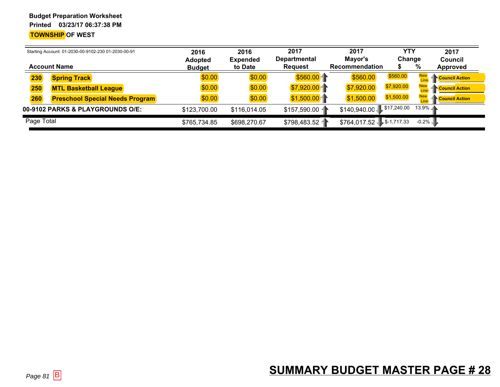| Starting Account: 01-2030-00-9102-230 01-2030-00-91<br><b>Account Name</b> |            | 2016<br><b>Adopted</b>                 | 2016<br><b>Expended</b> | 2017<br><b>Departmental</b> | 2017<br>Mayor's | <b>YTY</b><br>Change       | 2017<br>Council |                                     |
|----------------------------------------------------------------------------|------------|----------------------------------------|-------------------------|-----------------------------|-----------------|----------------------------|-----------------|-------------------------------------|
|                                                                            |            |                                        | <b>Budget</b>           | to Date                     | <b>Request</b>  | <b>Recommendation</b>      |                 | %<br>Approved                       |
|                                                                            | 230        | <b>Spring Track</b>                    | \$0.00                  | \$0.00                      | \$560.00        | \$560.00                   | \$560.00        | <b>Council Action</b>               |
|                                                                            | 250        | <b>MTL Basketball League</b>           | \$0.00                  | \$0.00                      | \$7,920.00      | \$7,920.00                 | \$7,920.00      | <b>New</b><br><b>Council Action</b> |
|                                                                            | 260        | <b>Preschool Special Needs Program</b> | \$0.00                  | \$0.00                      | \$1,500.00      | \$1,500.00                 | \$1,500.00      | <b>PCouncil Action</b>              |
|                                                                            |            | 00-9102 PARKS & PLAYGROUNDS O/E:       | \$123,700.00            | \$116,014.05                | \$157,590.00    | \$140,940.00 \$17,240.00   |                 | $13.9\%$                            |
|                                                                            | Page Total |                                        | \$765,734.85            | \$698,270.67                | \$798,483.52    | $$764,017.52$ $$-1,717.33$ |                 | $-0.2\%$                            |

#### **SUMMARY BUDGET MASTER PAGE # 28**B SUMMARY DUDULI MAUTENT AUL ME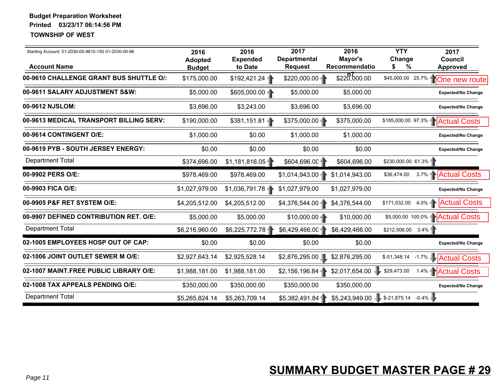| Starting Account: 01-2030-00-9610-150 01-2030-00-96<br><b>Account Name</b> | 2016<br><b>Adopted</b><br><b>Budget</b> | 2016<br><b>Expended</b><br>to Date | 2017<br><b>Departmental</b><br><b>Request</b> | 2016<br>Mayor's<br>Recommendatio | <b>YTY</b><br>Change<br>%<br>S         | 2017<br><b>Council</b><br><b>Approved</b> |
|----------------------------------------------------------------------------|-----------------------------------------|------------------------------------|-----------------------------------------------|----------------------------------|----------------------------------------|-------------------------------------------|
| 00-9610 CHALLENGE GRANT BUS SHUTTLE O/:                                    | \$175,000.00                            | \$192,421.24                       | $$220,000.00 -$                               | \$220,000.00                     | \$45,000.00 25.7%                      | 10ne new route                            |
| 00-9611 SALARY ADJUSTMENT S&W:                                             | \$5,000.00                              | $$605,000.00 -$                    | \$5,000.00                                    | \$5,000.00                       |                                        | <b>Expected/No Change</b>                 |
| 00-9612 NJSLOM:                                                            | \$3,696.00                              | \$3,243.00                         | \$3,696.00                                    | \$3,696.00                       |                                        | <b>Expected/No Change</b>                 |
| 00-9613 MEDICAL TRANSPORT BILLING SERV:                                    | \$190,000.00                            | $$381,151.81 -$                    | $$375,000.00 -$                               | \$375,000.00                     |                                        | \$185,000.00 97.3%   Actual Costs         |
| 00-9614 CONTINGENT O/E:                                                    | \$1,000.00                              | \$0.00                             | \$1,000.00                                    | \$1,000.00                       |                                        | <b>Expected/No Change</b>                 |
| 00-9619 PYB - SOUTH JERSEY ENERGY:                                         | \$0.00                                  | \$0.00                             | \$0.00                                        | \$0.00                           |                                        | <b>Expected/No Change</b>                 |
| <b>Department Total</b>                                                    | \$374,696.00                            | \$1,181,816.05                     | \$604,696.00                                  | \$604,696.00                     | $$230,000.00 61.3\%$                   |                                           |
| 00-9902 PERS O/E:                                                          | \$978,469.00                            | \$978,469.00                       | \$1,014,943.00                                | \$1,014,943.00                   | \$36,474.00                            | 3.7%   Actual Costs                       |
| 00-9903 FICA O/E:                                                          | \$1,027,979.00                          | \$1,036,791.784                    | \$1,027,979.00                                | \$1,027,979.00                   |                                        | <b>Expected/No Change</b>                 |
| 00-9905 P&F RET SYSTEM O/E:                                                | \$4,205,512.00                          | \$4,205,512.00                     | \$4,376,544.00-                               | \$4,376,544.00                   | \$171,032.00                           | 4.0% <b>Actual Costs</b>                  |
| 00-9907 DEFINED CONTRIBUTION RET. O/E:                                     | \$5,000.00                              | \$5,000.00                         | $$10,000.00 -$                                | \$10,000.00                      |                                        | \$5,000.00 100.0%   Actual Costs          |
| <b>Department Total</b>                                                    | \$6,216,960.00                          | \$6,225,772.78                     | \$6,429,466.00                                | \$6,429,466.00                   | \$212,506.00 3.4%                      |                                           |
| 02-1005 EMPLOYEES HOSP OUT OF CAP:                                         | \$0.00                                  | \$0.00                             | \$0.00                                        | \$0.00                           |                                        | <b>Expected/No Change</b>                 |
| 02-1006 JOINT OUTLET SEWER M O/E:                                          | \$2,927,643.14                          | \$2,925,528.14                     | \$2,876,295.00                                | \$2,876,295.00                   | \$-51,348.14<br>$-1.7\%$               | <b>Actual Costs</b>                       |
| 02-1007 MAINT.FREE PUBLIC LIBRARY O/E:                                     | \$1,988,181.00                          | \$1,988,181.00                     | \$2,156,196.84                                | \$2,017,654.00                   | \$29,473.00<br>1.4%                    | <b>Actual Costs</b>                       |
| 02-1008 TAX APPEALS PENDING O/E:                                           | \$350,000.00                            | \$350,000.00                       | \$350,000.00                                  | \$350,000.00                     |                                        | <b>Expected/No Change</b>                 |
| <b>Department Total</b>                                                    | \$5,265,824.14                          | \$5,263,709.14                     | \$5,382,491.84                                |                                  | $$5,243,949.00$ $$-21,875.14$ $-0.4\%$ |                                           |
|                                                                            |                                         |                                    |                                               |                                  |                                        |                                           |
| Page 11                                                                    |                                         |                                    |                                               |                                  | <b>SUMMARY BUDGET MASTER PAGE # 29</b> |                                           |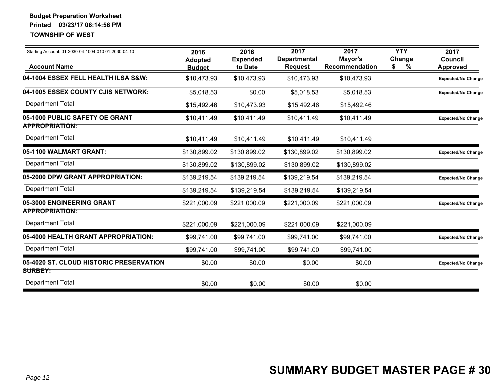| Starting Account: 01-2030-04-1004-010 01-2030-04-10<br><b>Account Name</b> | 2016<br><b>Adopted</b><br><b>Budget</b> | 2016<br><b>Expended</b><br>to Date | 2017<br><b>Departmental</b><br><b>Request</b> | 2017<br>Mayor's<br><b>Recommendation</b> | <b>YTY</b><br>Change<br>%<br>S | 2017<br>Council<br>Approved |
|----------------------------------------------------------------------------|-----------------------------------------|------------------------------------|-----------------------------------------------|------------------------------------------|--------------------------------|-----------------------------|
| 04-1004 ESSEX FELL HEALTH ILSA S&W:                                        | \$10,473.93                             | \$10,473.93                        | \$10,473.93                                   | \$10,473.93                              |                                | <b>Expected/No Change</b>   |
| 04-1005 ESSEX COUNTY CJIS NETWORK:                                         | \$5,018.53                              | \$0.00                             | \$5,018.53                                    | \$5,018.53                               |                                | <b>Expected/No Change</b>   |
| <b>Department Total</b>                                                    | \$15,492.46                             | \$10,473.93                        | \$15,492.46                                   | \$15,492.46                              |                                |                             |
| 05-1000 PUBLIC SAFETY OE GRANT<br><b>APPROPRIATION:</b>                    | \$10,411.49                             | \$10,411.49                        | \$10,411.49                                   | \$10,411.49                              |                                | <b>Expected/No Change</b>   |
| <b>Department Total</b>                                                    | \$10,411.49                             | \$10,411.49                        | \$10,411.49                                   | \$10,411.49                              |                                |                             |
| 05-1100 WALMART GRANT:                                                     | \$130,899.02                            | \$130,899.02                       | \$130,899.02                                  | \$130,899.02                             |                                | <b>Expected/No Change</b>   |
| <b>Department Total</b>                                                    | \$130,899.02                            | \$130,899.02                       | \$130,899.02                                  | \$130,899.02                             |                                |                             |
| 05-2000 DPW GRANT APPROPRIATION:                                           | \$139,219.54                            | \$139,219.54                       | \$139,219.54                                  | \$139,219.54                             |                                | <b>Expected/No Change</b>   |
| <b>Department Total</b>                                                    | \$139,219.54                            | \$139,219.54                       | \$139,219.54                                  | \$139,219.54                             |                                |                             |
| 05-3000 ENGINEERING GRANT<br><b>APPROPRIATION:</b>                         | \$221,000.09                            | \$221,000.09                       | \$221,000.09                                  | \$221,000.09                             |                                | <b>Expected/No Change</b>   |
| <b>Department Total</b>                                                    | \$221,000.09                            | \$221,000.09                       | \$221,000.09                                  | \$221,000.09                             |                                |                             |
| 05-4000 HEALTH GRANT APPROPRIATION:                                        | \$99,741.00                             | \$99,741.00                        | \$99,741.00                                   | \$99,741.00                              |                                | <b>Expected/No Change</b>   |
| <b>Department Total</b>                                                    | \$99,741.00                             | \$99,741.00                        | \$99,741.00                                   | \$99,741.00                              |                                |                             |
| 05-4020 ST. CLOUD HISTORIC PRESERVATION<br><b>SURBEY:</b>                  | \$0.00                                  | \$0.00                             | \$0.00                                        | \$0.00                                   |                                | <b>Expected/No Change</b>   |
| <b>Department Total</b>                                                    | \$0.00                                  | \$0.00                             | \$0.00                                        | \$0.00                                   |                                |                             |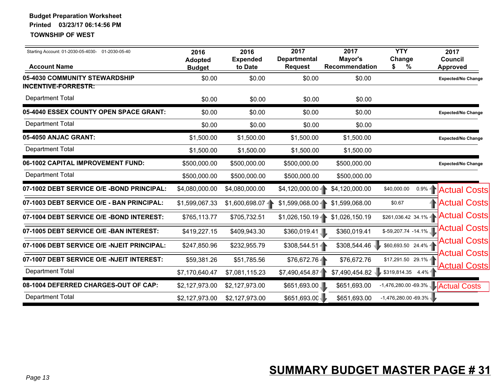| <b>Account Name</b>                                   | 2016<br><b>Adopted</b><br><b>Budget</b> | 2016<br><b>Expended</b><br>to Date | 2017<br><b>Departmental</b><br><b>Request</b> | 2017<br>Mayor's<br>Recommendation | <b>YTY</b><br>Change<br>\$<br>%   | 2017<br><b>Council</b><br><b>Approved</b> |
|-------------------------------------------------------|-----------------------------------------|------------------------------------|-----------------------------------------------|-----------------------------------|-----------------------------------|-------------------------------------------|
| 05-4030 COMMUNITY STEWARDSHIP                         | \$0.00                                  | \$0.00                             | \$0.00                                        | \$0.00                            |                                   | <b>Expected/No Change</b>                 |
| <b>INCENTIVE-FORRESTR:</b><br><b>Department Total</b> | \$0.00                                  | \$0.00                             | \$0.00                                        | \$0.00                            |                                   |                                           |
| 05-4040 ESSEX COUNTY OPEN SPACE GRANT:                | \$0.00                                  | \$0.00                             | \$0.00                                        | \$0.00                            |                                   | <b>Expected/No Change</b>                 |
| <b>Department Total</b>                               | \$0.00                                  | \$0.00                             | \$0.00                                        | \$0.00                            |                                   |                                           |
| 05-4050 ANJAC GRANT:                                  | \$1,500.00                              | \$1,500.00                         | \$1,500.00                                    | \$1,500.00                        |                                   | <b>Expected/No Change</b>                 |
| <b>Department Total</b>                               | \$1,500.00                              | \$1,500.00                         | \$1,500.00                                    | \$1,500.00                        |                                   |                                           |
| 06-1002 CAPITAL IMPROVEMENT FUND:                     | \$500,000.00                            | \$500,000.00                       | \$500,000.00                                  | \$500,000.00                      |                                   | <b>Expected/No Change</b>                 |
| <b>Department Total</b>                               | \$500,000.00                            | \$500,000.00                       | \$500,000.00                                  | \$500,000.00                      |                                   |                                           |
| 07-1002 DEBT SERVICE O/E -BOND PRINCIPAL:             | \$4,080,000.00                          | \$4,080,000.00                     | \$4,120,000.00                                | \$4,120,000.00                    | \$40,000.00                       | 0.9%   Actual Costs                       |
| 07-1003 DEBT SERVICE O/E - BAN PRINCIPAL:             | \$1,599,067.33                          | $$1,600,698.07$ -                  | \$1,599,068.00-                               | \$1,599,068.00                    | \$0.67                            | <b>Actual Costs</b>                       |
| 07-1004 DEBT SERVICE O/E -BOND INTEREST:              | \$765,113.77                            | \$705,732.51                       | $$1,026,150.19 -$                             | \$1,026,150.19                    |                                   | \$261,036.42 34.1%   Actual Costs         |
| 07-1005 DEBT SERVICE O/E -BAN INTEREST:               | \$419,227.15                            | \$409,943.30                       | \$360,019.41                                  | \$360,019.41                      | $$-59,207.74$ -14.1%              | <b>Actual Costs</b>                       |
| 07-1006 DEBT SERVICE O/E -NJEIT PRINCIPAL:            | \$247,850.96                            | \$232,955.79                       | $$308,544.51 -$                               | \$308,544.46                      | \$60,693.50 24.4% -               | <b>Actual Costs</b>                       |
| 07-1007 DEBT SERVICE O/E -NJEIT INTEREST:             | \$59,381.26                             | \$51,785.56                        | \$76,672.76                                   | \$76,672.76                       | \$17,291.50 29.1%                 | <b>Actual Costs</b>                       |
| <b>Department Total</b>                               | \$7,170,640.47                          | \$7,081,115.23                     | \$7,490,454.87                                | \$7,490,454.82                    | $$319,814.35$ 4.4%                | <b>Actual Costs</b>                       |
| 08-1004 DEFERRED CHARGES-OUT OF CAP:                  | \$2,127,973.00                          | \$2,127,973.00                     | \$651,693.00                                  | \$651,693.00                      | -1,476,280.00 -69.3% Actual Costs |                                           |
| <b>Department Total</b>                               | \$2,127,973.00                          | \$2,127,973.00                     | \$651,693.00                                  | \$651,693.00                      | $-1,476,280.00 -69.3\%$           |                                           |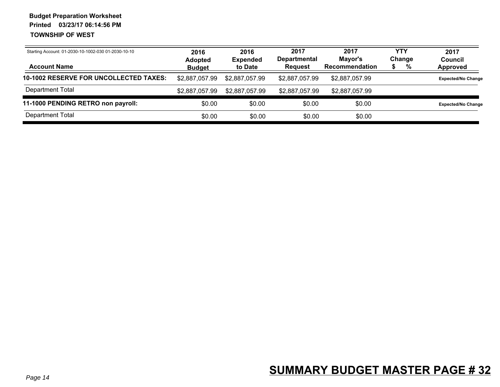| Starting Account: 01-2030-10-1002-030 01-2030-10-10<br><b>Account Name</b> | 2016<br><b>Adopted</b><br><b>Budget</b> | 2016<br><b>Expended</b><br>to Date | 2017<br><b>Departmental</b><br><b>Reguest</b> | 2017<br>Mayor's<br><b>Recommendation</b> | YTY<br>Change | % | 2017<br><b>Council</b><br>Approved |
|----------------------------------------------------------------------------|-----------------------------------------|------------------------------------|-----------------------------------------------|------------------------------------------|---------------|---|------------------------------------|
| <b>10-1002 RESERVE FOR UNCOLLECTED TAXES:</b>                              | \$2,887,057.99                          | \$2,887,057.99                     | \$2,887,057.99                                | \$2,887,057.99                           |               |   | <b>Expected/No Change</b>          |
| Department Total                                                           | \$2,887,057.99                          | \$2,887,057.99                     | \$2,887,057.99                                | \$2,887,057.99                           |               |   |                                    |
| 11-1000 PENDING RETRO non payroll:                                         | \$0.00                                  | \$0.00                             | \$0.00                                        | \$0.00                                   |               |   | <b>Expected/No Change</b>          |
| Department Total                                                           | \$0.00                                  | \$0.00                             | \$0.00                                        | \$0.00                                   |               |   |                                    |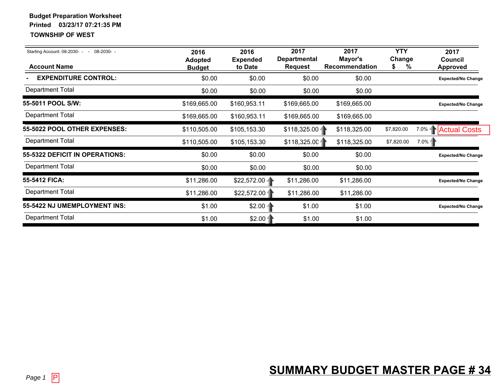| Starting Account: 08-2030- - - 08-2030- -<br><b>Account Name</b> | 2016<br><b>Adopted</b><br><b>Budget</b> | 2016<br><b>Expended</b><br>to Date | 2017<br><b>Departmental</b><br><b>Request</b> | 2017<br>Mayor's<br>Recommendation | <b>YTY</b><br>Change<br>\$<br>% | 2017<br>Council<br><b>Approved</b>     |
|------------------------------------------------------------------|-----------------------------------------|------------------------------------|-----------------------------------------------|-----------------------------------|---------------------------------|----------------------------------------|
| <b>EXPENDITURE CONTROL:</b>                                      | \$0.00                                  | \$0.00                             | \$0.00                                        | \$0.00                            |                                 | <b>Expected/No Change</b>              |
| <b>Department Total</b>                                          | \$0.00                                  | \$0.00                             | \$0.00                                        | \$0.00                            |                                 |                                        |
| 55-5011 POOL S/W:                                                | \$169,665.00                            | \$160,953.11                       | \$169,665.00                                  | \$169,665.00                      |                                 | <b>Expected/No Change</b>              |
| <b>Department Total</b>                                          | \$169,665.00                            | \$160,953.11                       | \$169,665.00                                  | \$169,665.00                      |                                 |                                        |
| 55-5022 POOL OTHER EXPENSES:                                     | \$110,505.00                            | \$105,153.30                       | $$118,325.00 -$                               | \$118,325.00                      | \$7,820.00                      | 7.0%   Actual Costs                    |
| <b>Department Total</b>                                          | \$110,505.00                            | \$105,153.30                       | \$118,325.00                                  | \$118,325.00                      | \$7,820.00                      | $7.0\%$                                |
| 55-5322 DEFICIT IN OPERATIONS:                                   | \$0.00                                  | \$0.00                             | \$0.00                                        | \$0.00                            |                                 | <b>Expected/No Change</b>              |
| <b>Department Total</b>                                          | \$0.00                                  | \$0.00                             | \$0.00                                        | \$0.00                            |                                 |                                        |
| 55-5412 FICA:                                                    | \$11,286.00                             | \$22,572.00                        | \$11,286.00                                   | \$11,286.00                       |                                 | <b>Expected/No Change</b>              |
| <b>Department Total</b>                                          | \$11,286.00                             | \$22,572.00                        | \$11,286.00                                   | \$11,286.00                       |                                 |                                        |
| 55-5422 NJ UMEMPLOYMENT INS:                                     | \$1.00                                  | $$2.00 -$                          | \$1.00                                        | \$1.00                            |                                 | <b>Expected/No Change</b>              |
| <b>Department Total</b>                                          | \$1.00                                  | $$2.00 -$                          | \$1.00                                        | \$1.00                            |                                 |                                        |
|                                                                  |                                         |                                    |                                               |                                   |                                 |                                        |
| Page 1 $ P $                                                     |                                         |                                    |                                               |                                   |                                 | <b>SUMMARY BUDGET MASTER PAGE # 34</b> |

#### **SUMMARY BUDGET MASTER PAGE # 34**Players are a series of the contract of the contract of the contract of the contract of the contract of the contract of the contract of the contract of the contract of the contract of the contract of the contract of the co